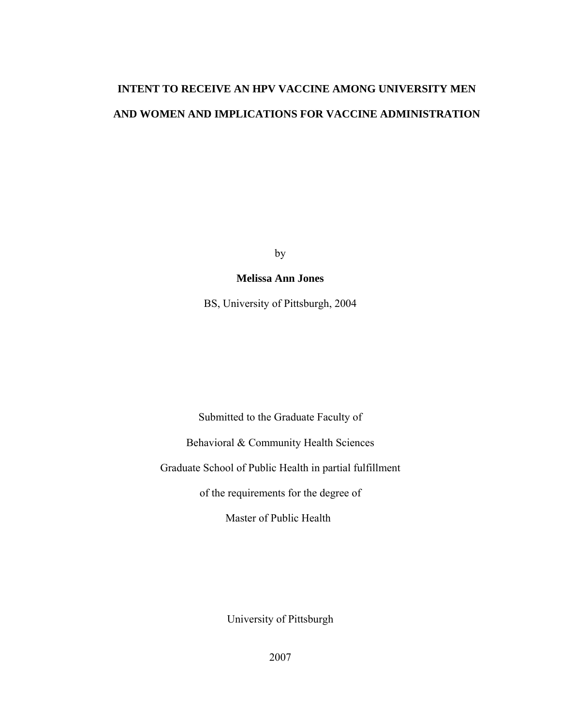# **INTENT TO RECEIVE AN HPV VACCINE AMONG UNIVERSITY MEN AND WOMEN AND IMPLICATIONS FOR VACCINE ADMINISTRATION**

by

### **Melissa Ann Jones**

BS, University of Pittsburgh, 2004

Submitted to the Graduate Faculty of

Behavioral & Community Health Sciences

Graduate School of Public Health in partial fulfillment

of the requirements for the degree of

Master of Public Health

University of Pittsburgh

2007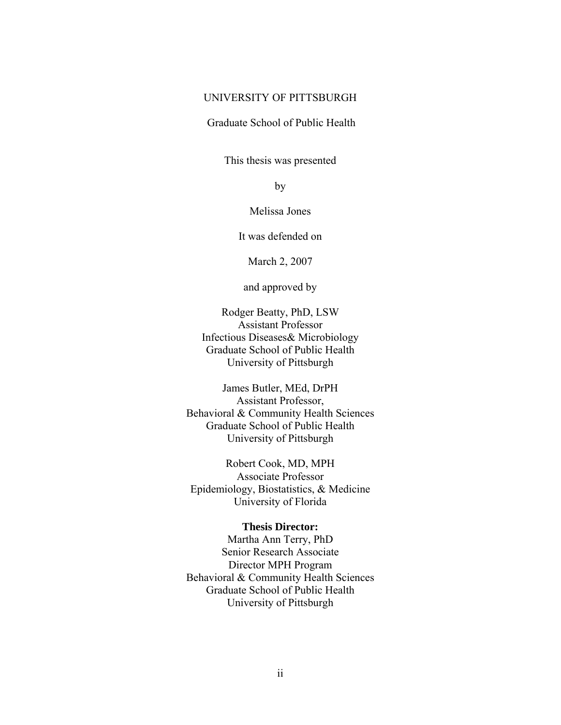#### UNIVERSITY OF PITTSBURGH

#### Graduate School of Public Health

This thesis was presented

by

Melissa Jones

It was defended on

March 2, 2007

and approved by

Rodger Beatty, PhD, LSW Assistant Professor Infectious Diseases& Microbiology Graduate School of Public Health University of Pittsburgh

James Butler, MEd, DrPH Assistant Professor, Behavioral & Community Health Sciences Graduate School of Public Health University of Pittsburgh

Robert Cook, MD, MPH Associate Professor Epidemiology, Biostatistics, & Medicine University of Florida

#### **Thesis Director:**

Martha Ann Terry, PhD Senior Research Associate Director MPH Program Behavioral & Community Health Sciences Graduate School of Public Health University of Pittsburgh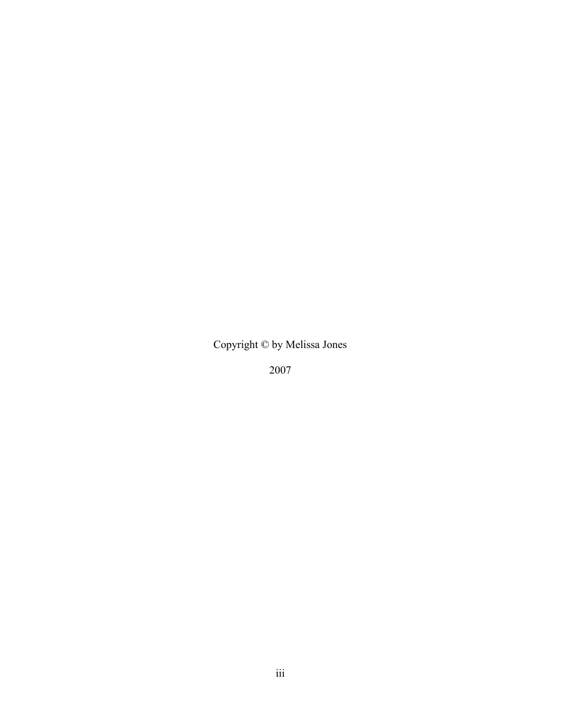Copyright © by Melissa Jones

2007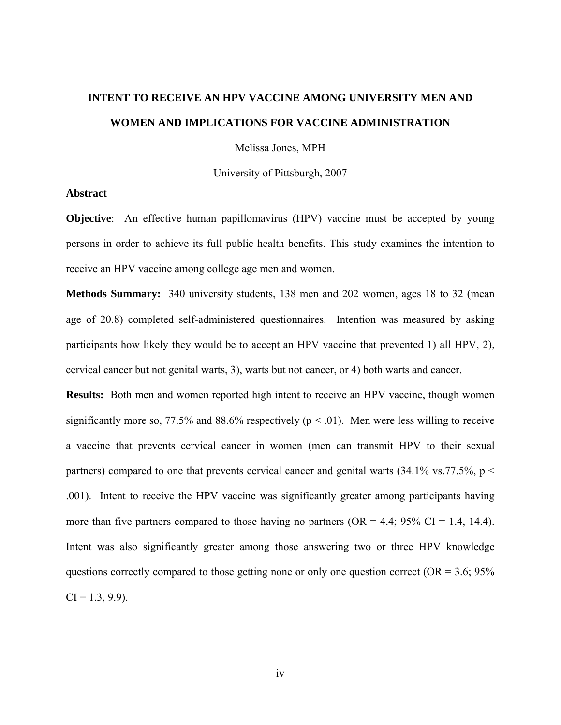# **INTENT TO RECEIVE AN HPV VACCINE AMONG UNIVERSITY MEN AND WOMEN AND IMPLICATIONS FOR VACCINE ADMINISTRATION**

Melissa Jones, MPH

University of Pittsburgh, 2007

#### **Abstract**

**Objective**: An effective human papillomavirus (HPV) vaccine must be accepted by young persons in order to achieve its full public health benefits. This study examines the intention to receive an HPV vaccine among college age men and women.

**Methods Summary:** 340 university students, 138 men and 202 women, ages 18 to 32 (mean age of 20.8) completed self-administered questionnaires. Intention was measured by asking participants how likely they would be to accept an HPV vaccine that prevented 1) all HPV, 2), cervical cancer but not genital warts, 3), warts but not cancer, or 4) both warts and cancer.

**Results:** Both men and women reported high intent to receive an HPV vaccine, though women significantly more so, 77.5% and 88.6% respectively ( $p < .01$ ). Men were less willing to receive a vaccine that prevents cervical cancer in women (men can transmit HPV to their sexual partners) compared to one that prevents cervical cancer and genital warts  $(34.1\% \text{ vs. } 77.5\%, \text{ p}$ .001). Intent to receive the HPV vaccine was significantly greater among participants having more than five partners compared to those having no partners ( $OR = 4.4$ ; 95% CI = 1.4, 14.4). Intent was also significantly greater among those answering two or three HPV knowledge questions correctly compared to those getting none or only one question correct ( $OR = 3.6$ ;  $95\%$ )  $CI = 1.3, 9.9$ ).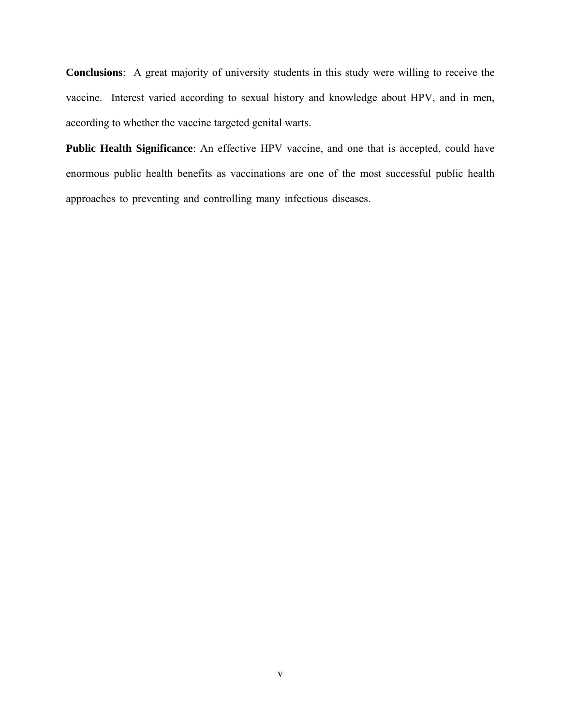**Conclusions**: A great majority of university students in this study were willing to receive the vaccine. Interest varied according to sexual history and knowledge about HPV, and in men, according to whether the vaccine targeted genital warts.

**Public Health Significance**: An effective HPV vaccine, and one that is accepted, could have enormous public health benefits as vaccinations are one of the most successful public health approaches to preventing and controlling many infectious diseases.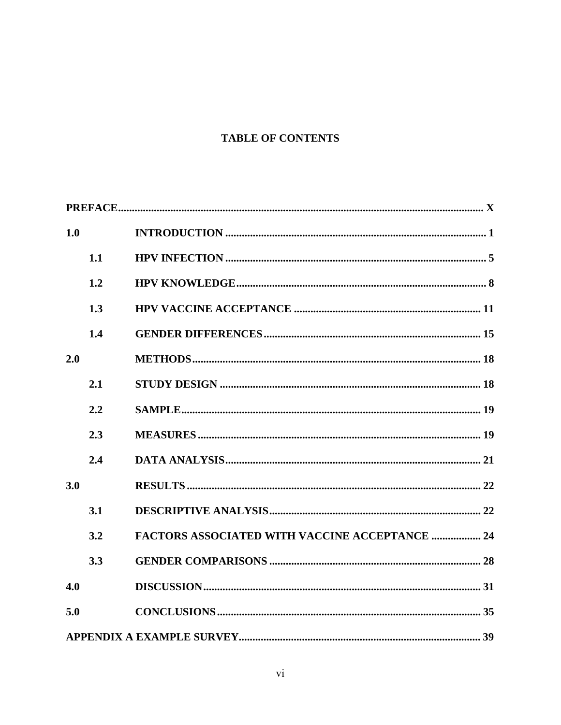### **TABLE OF CONTENTS**

| 1.0 |     |                                                       |
|-----|-----|-------------------------------------------------------|
|     | 1.1 |                                                       |
|     | 1.2 |                                                       |
|     | 1.3 |                                                       |
|     | 1.4 |                                                       |
| 2.0 |     |                                                       |
|     | 2.1 |                                                       |
|     | 2.2 |                                                       |
|     | 2.3 |                                                       |
|     | 2.4 |                                                       |
| 3.0 |     |                                                       |
|     | 3.1 |                                                       |
|     | 3.2 | <b>FACTORS ASSOCIATED WITH VACCINE ACCEPTANCE  24</b> |
|     | 3.3 |                                                       |
| 4.0 |     |                                                       |
| 5.0 |     |                                                       |
|     |     |                                                       |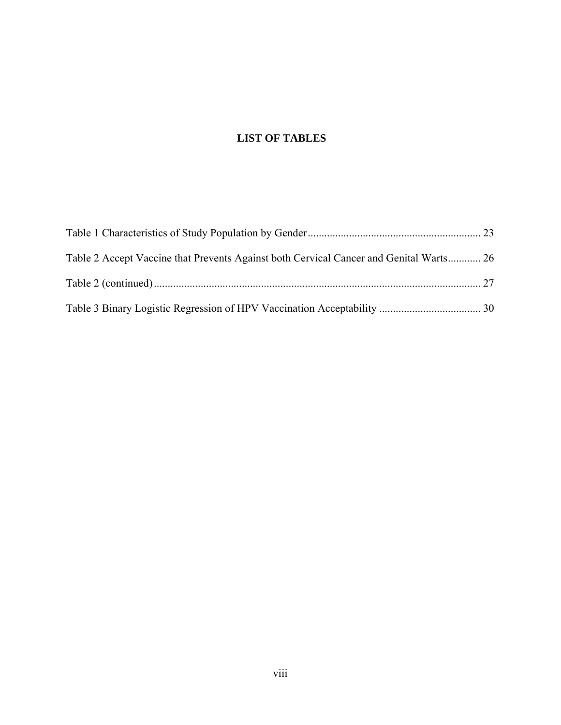## **LIST OF TABLES**

| Table 2 Accept Vaccine that Prevents Against both Cervical Cancer and Genital Warts 26 |  |
|----------------------------------------------------------------------------------------|--|
|                                                                                        |  |
|                                                                                        |  |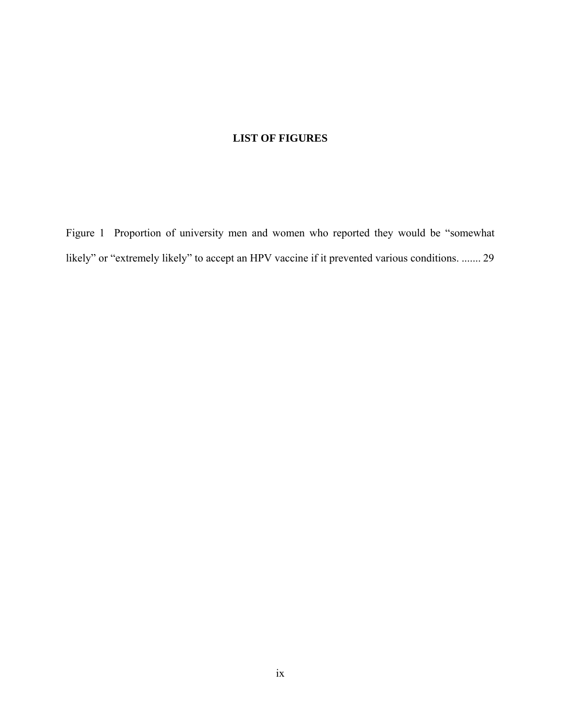### **LIST OF FIGURES**

[Figure 1 Proportion of university men and women who reported they would be "somewhat](#page-38-0)  [likely" or "extremely likely" to accept an HPV vaccine if it prevented various conditions.](#page-38-0) ....... 29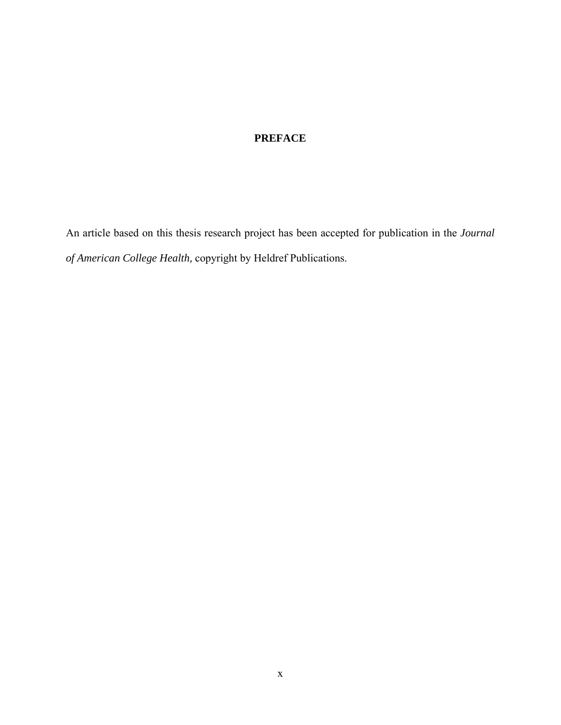## **PREFACE**

<span id="page-9-0"></span>An article based on this thesis research project has been accepted for publication in the *Journal of American College Health,* copyright by Heldref Publications.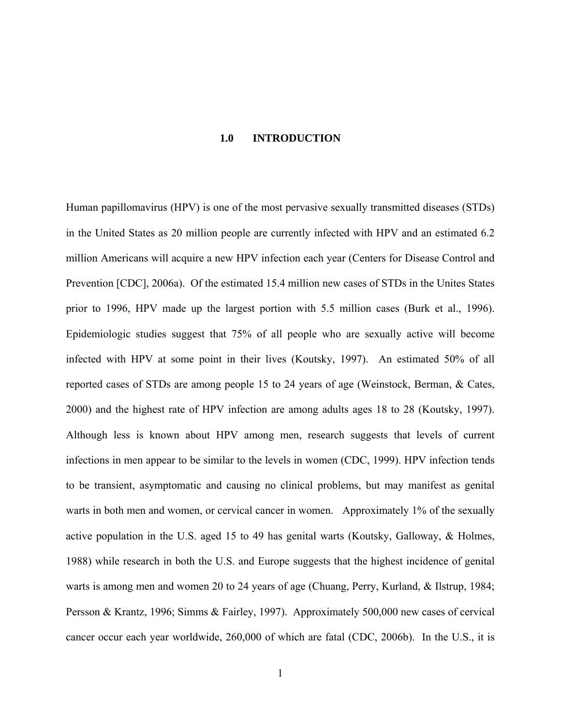#### **1.0 INTRODUCTION**

<span id="page-10-0"></span>Human papillomavirus (HPV) is one of the most pervasive sexually transmitted diseases (STDs) in the United States as 20 million people are currently infected with HPV and an estimated 6.2 million Americans will acquire a new HPV infection each year (Centers for Disease Control and Prevention [CDC], 2006a). Of the estimated 15.4 million new cases of STDs in the Unites States prior to 1996, HPV made up the largest portion with 5.5 million cases (Burk et al., 1996). Epidemiologic studies suggest that 75% of all people who are sexually active will become infected with HPV at some point in their lives (Koutsky, 1997). An estimated 50% of all reported cases of STDs are among people 15 to 24 years of age (Weinstock, Berman, & Cates, 2000) and the highest rate of HPV infection are among adults ages 18 to 28 (Koutsky, 1997). Although less is known about HPV among men, research suggests that levels of current infections in men appear to be similar to the levels in women (CDC, 1999). HPV infection tends to be transient, asymptomatic and causing no clinical problems, but may manifest as genital warts in both men and women, or cervical cancer in women. Approximately 1% of the sexually active population in the U.S. aged 15 to 49 has genital warts (Koutsky, Galloway, & Holmes, 1988) while research in both the U.S. and Europe suggests that the highest incidence of genital warts is among men and women 20 to 24 years of age (Chuang, Perry, Kurland, & Ilstrup, 1984; Persson & Krantz, 1996; Simms & Fairley, 1997). Approximately 500,000 new cases of cervical cancer occur each year worldwide, 260,000 of which are fatal (CDC, 2006b). In the U.S., it is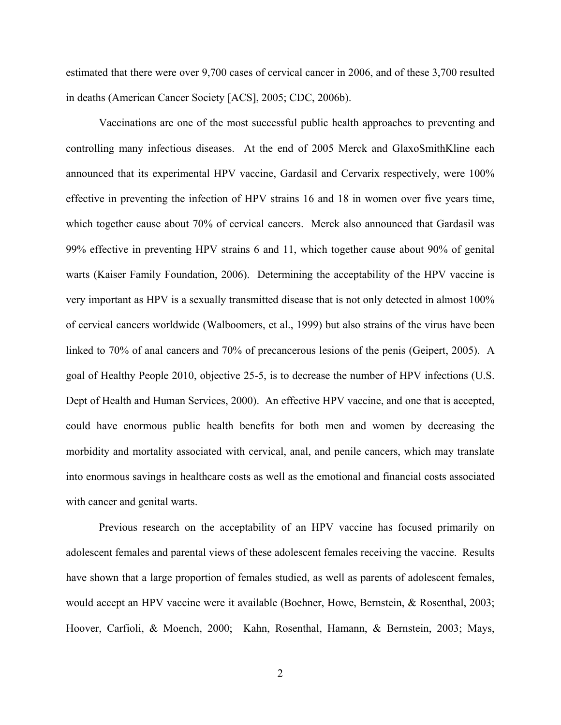estimated that there were over 9,700 cases of cervical cancer in 2006, and of these 3,700 resulted in deaths (American Cancer Society [ACS], 2005; CDC, 2006b).

Vaccinations are one of the most successful public health approaches to preventing and controlling many infectious diseases. At the end of 2005 Merck and GlaxoSmithKline each announced that its experimental HPV vaccine, Gardasil and Cervarix respectively, were 100% effective in preventing the infection of HPV strains 16 and 18 in women over five years time, which together cause about 70% of cervical cancers. Merck also announced that Gardasil was 99% effective in preventing HPV strains 6 and 11, which together cause about 90% of genital warts (Kaiser Family Foundation, 2006). Determining the acceptability of the HPV vaccine is very important as HPV is a sexually transmitted disease that is not only detected in almost 100% of cervical cancers worldwide (Walboomers, et al., 1999) but also strains of the virus have been linked to 70% of anal cancers and 70% of precancerous lesions of the penis (Geipert, 2005). A goal of Healthy People 2010, objective 25-5, is to decrease the number of HPV infections (U.S. Dept of Health and Human Services, 2000). An effective HPV vaccine, and one that is accepted, could have enormous public health benefits for both men and women by decreasing the morbidity and mortality associated with cervical, anal, and penile cancers, which may translate into enormous savings in healthcare costs as well as the emotional and financial costs associated with cancer and genital warts.

Previous research on the acceptability of an HPV vaccine has focused primarily on adolescent females and parental views of these adolescent females receiving the vaccine. Results have shown that a large proportion of females studied, as well as parents of adolescent females, would accept an HPV vaccine were it available (Boehner, Howe, Bernstein, & Rosenthal, 2003; Hoover, Carfioli, & Moench, 2000; Kahn, Rosenthal, Hamann, & Bernstein, 2003; Mays,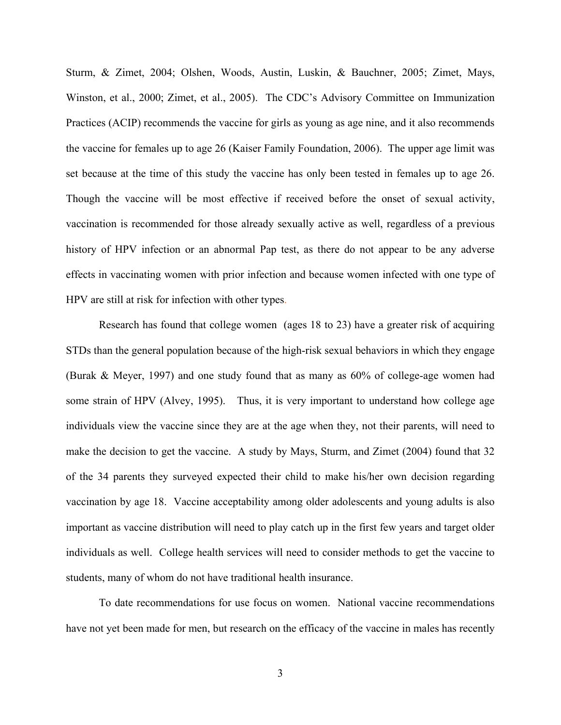Sturm, & Zimet, 2004; Olshen, Woods, Austin, Luskin, & Bauchner, 2005; Zimet, Mays, Winston, et al., 2000; Zimet, et al., 2005). The CDC's Advisory Committee on Immunization Practices (ACIP) recommends the vaccine for girls as young as age nine, and it also recommends the vaccine for females up to age 26 (Kaiser Family Foundation, 2006). The upper age limit was set because at the time of this study the vaccine has only been tested in females up to age 26. Though the vaccine will be most effective if received before the onset of sexual activity, vaccination is recommended for those already sexually active as well, regardless of a previous history of HPV infection or an abnormal Pap test, as there do not appear to be any adverse effects in vaccinating women with prior infection and because women infected with one type of HPV are still at risk for infection with other types.

Research has found that college women (ages 18 to 23) have a greater risk of acquiring STDs than the general population because of the high-risk sexual behaviors in which they engage (Burak & Meyer, 1997) and one study found that as many as 60% of college-age women had some strain of HPV (Alvey, 1995). Thus, it is very important to understand how college age individuals view the vaccine since they are at the age when they, not their parents, will need to make the decision to get the vaccine. A study by Mays, Sturm, and Zimet (2004) found that 32 of the 34 parents they surveyed expected their child to make his/her own decision regarding vaccination by age 18. Vaccine acceptability among older adolescents and young adults is also important as vaccine distribution will need to play catch up in the first few years and target older individuals as well. College health services will need to consider methods to get the vaccine to students, many of whom do not have traditional health insurance.

To date recommendations for use focus on women. National vaccine recommendations have not yet been made for men, but research on the efficacy of the vaccine in males has recently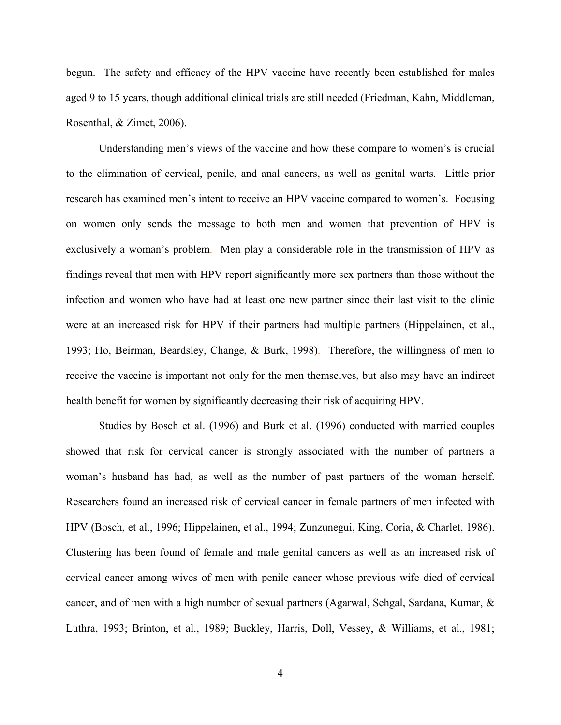begun. The safety and efficacy of the HPV vaccine have recently been established for males aged 9 to 15 years, though additional clinical trials are still needed (Friedman, Kahn, Middleman, Rosenthal, & Zimet, 2006).

Understanding men's views of the vaccine and how these compare to women's is crucial to the elimination of cervical, penile, and anal cancers, as well as genital warts. Little prior research has examined men's intent to receive an HPV vaccine compared to women's. Focusing on women only sends the message to both men and women that prevention of HPV is exclusively a woman's problem. Men play a considerable role in the transmission of HPV as findings reveal that men with HPV report significantly more sex partners than those without the infection and women who have had at least one new partner since their last visit to the clinic were at an increased risk for HPV if their partners had multiple partners (Hippelainen, et al., 1993; Ho, Beirman, Beardsley, Change, & Burk, 1998). Therefore, the willingness of men to receive the vaccine is important not only for the men themselves, but also may have an indirect health benefit for women by significantly decreasing their risk of acquiring HPV.

Studies by Bosch et al. (1996) and Burk et al. (1996) conducted with married couples showed that risk for cervical cancer is strongly associated with the number of partners a woman's husband has had, as well as the number of past partners of the woman herself. Researchers found an increased risk of cervical cancer in female partners of men infected with HPV (Bosch, et al., 1996; Hippelainen, et al., 1994; Zunzunegui, King, Coria, & Charlet, 1986). Clustering has been found of female and male genital cancers as well as an increased risk of cervical cancer among wives of men with penile cancer whose previous wife died of cervical cancer, and of men with a high number of sexual partners (Agarwal, Sehgal, Sardana, Kumar, & Luthra, 1993; Brinton, et al., 1989; Buckley, Harris, Doll, Vessey, & Williams, et al., 1981;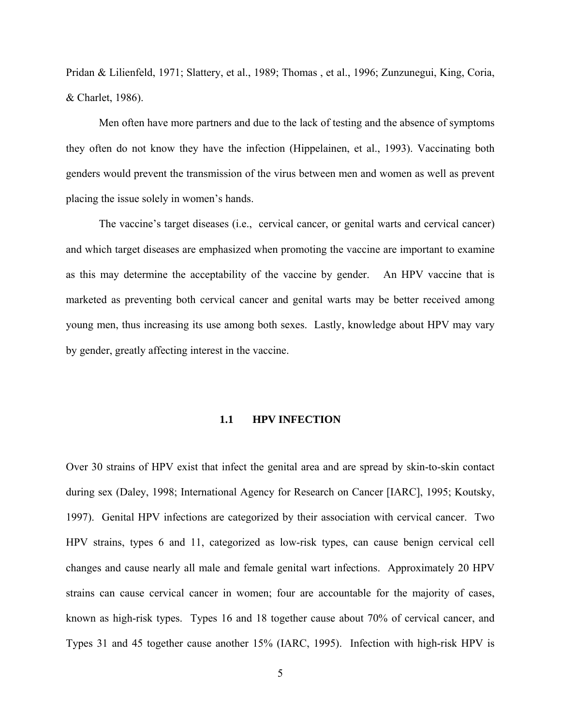<span id="page-14-0"></span>Pridan & Lilienfeld, 1971; Slattery, et al., 1989; Thomas , et al., 1996; Zunzunegui, King, Coria, & Charlet, 1986).

Men often have more partners and due to the lack of testing and the absence of symptoms they often do not know they have the infection (Hippelainen, et al., 1993). Vaccinating both genders would prevent the transmission of the virus between men and women as well as prevent placing the issue solely in women's hands.

The vaccine's target diseases (i.e., cervical cancer, or genital warts and cervical cancer) and which target diseases are emphasized when promoting the vaccine are important to examine as this may determine the acceptability of the vaccine by gender. An HPV vaccine that is marketed as preventing both cervical cancer and genital warts may be better received among young men, thus increasing its use among both sexes. Lastly, knowledge about HPV may vary by gender, greatly affecting interest in the vaccine.

#### **1.1 HPV INFECTION**

Over 30 strains of HPV exist that infect the genital area and are spread by skin-to-skin contact during sex (Daley, 1998; International Agency for Research on Cancer [IARC], 1995; Koutsky, 1997). Genital HPV infections are categorized by their association with cervical cancer. Two HPV strains, types 6 and 11, categorized as low-risk types, can cause benign cervical cell changes and cause nearly all male and female genital wart infections. Approximately 20 HPV strains can cause cervical cancer in women; four are accountable for the majority of cases, known as high-risk types. Types 16 and 18 together cause about 70% of cervical cancer, and Types 31 and 45 together cause another 15% (IARC, 1995). Infection with high-risk HPV is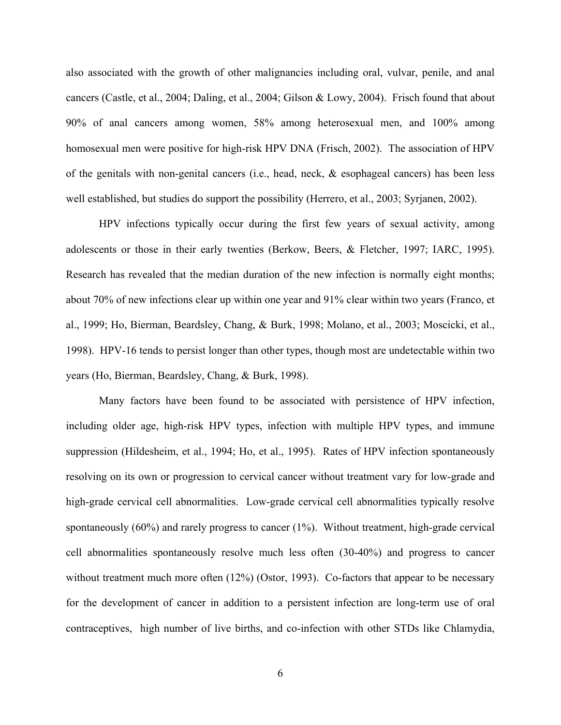also associated with the growth of other malignancies including oral, vulvar, penile, and anal cancers (Castle, et al., 2004; Daling, et al., 2004; Gilson & Lowy, 2004). Frisch found that about 90% of anal cancers among women, 58% among heterosexual men, and 100% among homosexual men were positive for high-risk HPV DNA (Frisch, 2002). The association of HPV of the genitals with non-genital cancers (i.e., head, neck, & esophageal cancers) has been less well established, but studies do support the possibility (Herrero, et al., 2003; Syrjanen, 2002).

HPV infections typically occur during the first few years of sexual activity, among adolescents or those in their early twenties (Berkow, Beers, & Fletcher, 1997; IARC, 1995). Research has revealed that the median duration of the new infection is normally eight months; about 70% of new infections clear up within one year and 91% clear within two years (Franco, et al., 1999; Ho, Bierman, Beardsley, Chang, & Burk, 1998; Molano, et al., 2003; Moscicki, et al., 1998). HPV-16 tends to persist longer than other types, though most are undetectable within two years (Ho, Bierman, Beardsley, Chang, & Burk, 1998).

Many factors have been found to be associated with persistence of HPV infection, including older age, high-risk HPV types, infection with multiple HPV types, and immune suppression (Hildesheim, et al., 1994; Ho, et al., 1995). Rates of HPV infection spontaneously resolving on its own or progression to cervical cancer without treatment vary for low-grade and high-grade cervical cell abnormalities. Low-grade cervical cell abnormalities typically resolve spontaneously (60%) and rarely progress to cancer (1%). Without treatment, high-grade cervical cell abnormalities spontaneously resolve much less often (30-40%) and progress to cancer without treatment much more often  $(12%)$  (Ostor, 1993). Co-factors that appear to be necessary for the development of cancer in addition to a persistent infection are long-term use of oral contraceptives, high number of live births, and co-infection with other STDs like Chlamydia,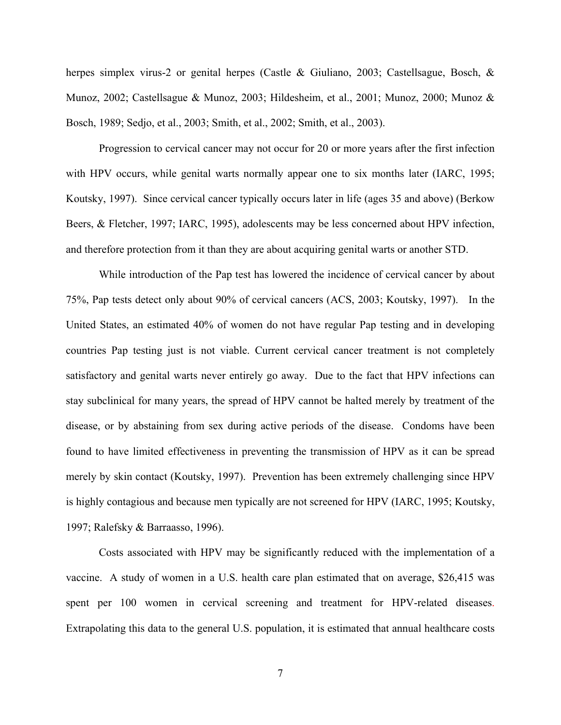herpes simplex virus-2 or genital herpes (Castle & Giuliano, 2003; Castellsague, Bosch, & Munoz, 2002; Castellsague & Munoz, 2003; Hildesheim, et al., 2001; Munoz, 2000; Munoz & Bosch, 1989; Sedjo, et al., 2003; Smith, et al., 2002; Smith, et al., 2003).

Progression to cervical cancer may not occur for 20 or more years after the first infection with HPV occurs, while genital warts normally appear one to six months later (IARC, 1995; Koutsky, 1997). Since cervical cancer typically occurs later in life (ages 35 and above) (Berkow Beers, & Fletcher, 1997; IARC, 1995), adolescents may be less concerned about HPV infection, and therefore protection from it than they are about acquiring genital warts or another STD.

While introduction of the Pap test has lowered the incidence of cervical cancer by about 75%, Pap tests detect only about 90% of cervical cancers (ACS, 2003; Koutsky, 1997). In the United States, an estimated 40% of women do not have regular Pap testing and in developing countries Pap testing just is not viable. Current cervical cancer treatment is not completely satisfactory and genital warts never entirely go away. Due to the fact that HPV infections can stay subclinical for many years, the spread of HPV cannot be halted merely by treatment of the disease, or by abstaining from sex during active periods of the disease. Condoms have been found to have limited effectiveness in preventing the transmission of HPV as it can be spread merely by skin contact (Koutsky, 1997). Prevention has been extremely challenging since HPV is highly contagious and because men typically are not screened for HPV (IARC, 1995; Koutsky, 1997; Ralefsky & Barraasso, 1996).

Costs associated with HPV may be significantly reduced with the implementation of a vaccine. A study of women in a U.S. health care plan estimated that on average, \$26,415 was spent per 100 women in cervical screening and treatment for HPV-related diseases. Extrapolating this data to the general U.S. population, it is estimated that annual healthcare costs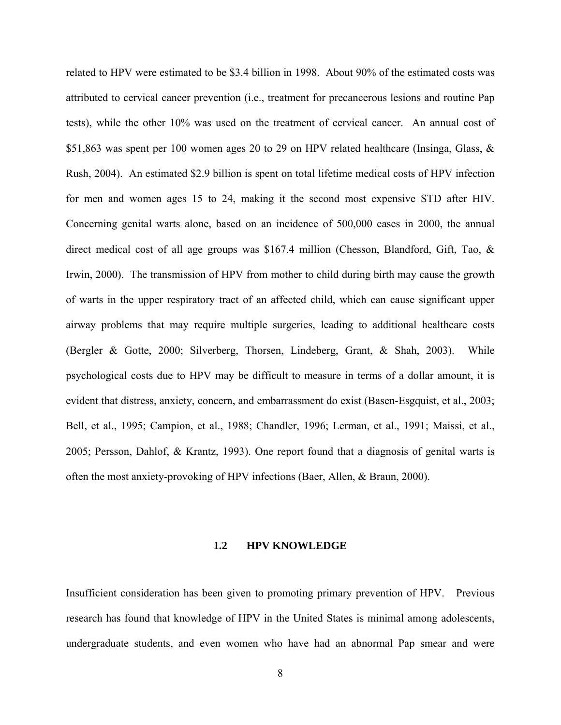<span id="page-17-0"></span>related to HPV were estimated to be \$3.4 billion in 1998. About 90% of the estimated costs was attributed to cervical cancer prevention (i.e., treatment for precancerous lesions and routine Pap tests), while the other 10% was used on the treatment of cervical cancer. An annual cost of \$51,863 was spent per 100 women ages 20 to 29 on HPV related healthcare (Insinga, Glass, & Rush, 2004). An estimated \$2.9 billion is spent on total lifetime medical costs of HPV infection for men and women ages 15 to 24, making it the second most expensive STD after HIV. Concerning genital warts alone, based on an incidence of 500,000 cases in 2000, the annual direct medical cost of all age groups was \$167.4 million (Chesson, Blandford, Gift, Tao, & Irwin, 2000). The transmission of HPV from mother to child during birth may cause the growth of warts in the upper respiratory tract of an affected child, which can cause significant upper airway problems that may require multiple surgeries, leading to additional healthcare costs (Bergler & Gotte, 2000; Silverberg, Thorsen, Lindeberg, Grant, & Shah, 2003). While psychological costs due to HPV may be difficult to measure in terms of a dollar amount, it is evident that distress, anxiety, concern, and embarrassment do exist (Basen-Esgquist, et al., 2003; Bell, et al., 1995; Campion, et al., 1988; Chandler, 1996; Lerman, et al., 1991; Maissi, et al., 2005; Persson, Dahlof, & Krantz, 1993). One report found that a diagnosis of genital warts is often the most anxiety-provoking of HPV infections (Baer, Allen, & Braun, 2000).

#### **1.2 HPV KNOWLEDGE**

Insufficient consideration has been given to promoting primary prevention of HPV. Previous research has found that knowledge of HPV in the United States is minimal among adolescents, undergraduate students, and even women who have had an abnormal Pap smear and were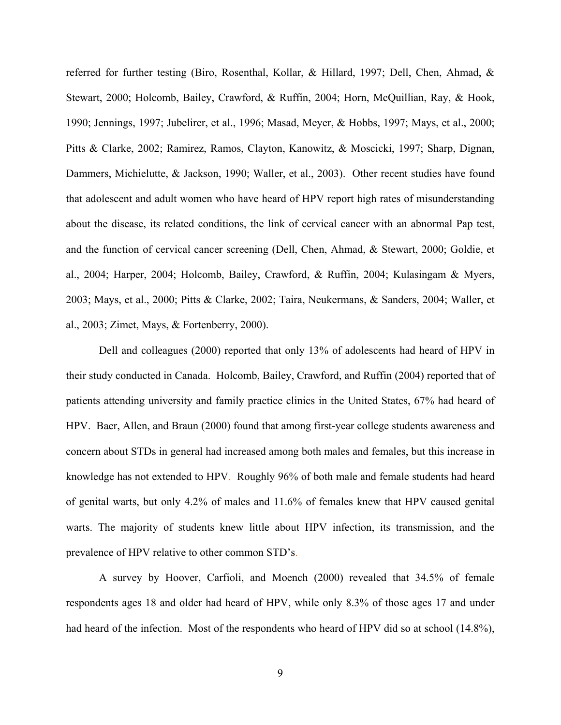referred for further testing (Biro, Rosenthal, Kollar, & Hillard, 1997; Dell, Chen, Ahmad, & Stewart, 2000; Holcomb, Bailey, Crawford, & Ruffin, 2004; Horn, McQuillian, Ray, & Hook, 1990; Jennings, 1997; Jubelirer, et al., 1996; Masad, Meyer, & Hobbs, 1997; Mays, et al., 2000; Pitts & Clarke, 2002; Ramirez, Ramos, Clayton, Kanowitz, & Moscicki, 1997; Sharp, Dignan, Dammers, Michielutte, & Jackson, 1990; Waller, et al., 2003). Other recent studies have found that adolescent and adult women who have heard of HPV report high rates of misunderstanding about the disease, its related conditions, the link of cervical cancer with an abnormal Pap test, and the function of cervical cancer screening (Dell, Chen, Ahmad, & Stewart, 2000; Goldie, et al., 2004; Harper, 2004; Holcomb, Bailey, Crawford, & Ruffin, 2004; Kulasingam & Myers, 2003; Mays, et al., 2000; Pitts & Clarke, 2002; Taira, Neukermans, & Sanders, 2004; Waller, et al., 2003; Zimet, Mays, & Fortenberry, 2000).

Dell and colleagues (2000) reported that only 13% of adolescents had heard of HPV in their study conducted in Canada. Holcomb, Bailey, Crawford, and Ruffin (2004) reported that of patients attending university and family practice clinics in the United States, 67% had heard of HPV. Baer, Allen, and Braun (2000) found that among first-year college students awareness and concern about STDs in general had increased among both males and females, but this increase in knowledge has not extended to HPV. Roughly 96% of both male and female students had heard of genital warts, but only 4.2% of males and 11.6% of females knew that HPV caused genital warts. The majority of students knew little about HPV infection, its transmission, and the prevalence of HPV relative to other common STD's.

A survey by Hoover, Carfioli, and Moench (2000) revealed that 34.5% of female respondents ages 18 and older had heard of HPV, while only 8.3% of those ages 17 and under had heard of the infection. Most of the respondents who heard of HPV did so at school (14.8%),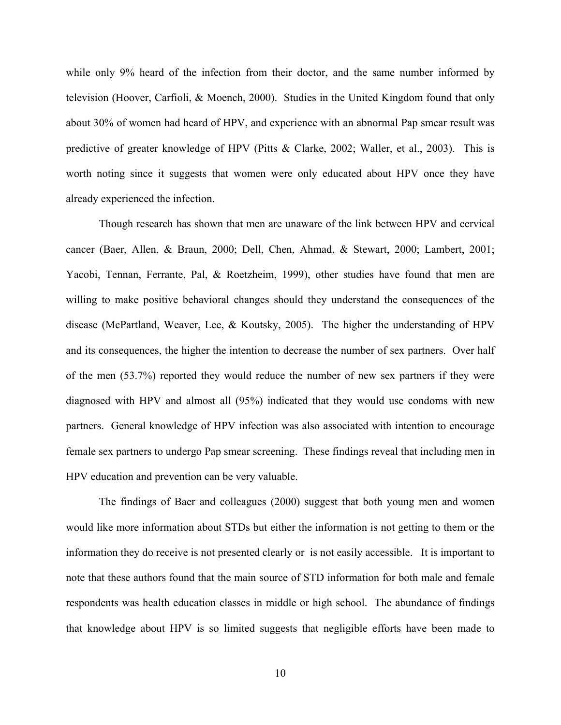while only 9% heard of the infection from their doctor, and the same number informed by television (Hoover, Carfioli, & Moench, 2000). Studies in the United Kingdom found that only about 30% of women had heard of HPV, and experience with an abnormal Pap smear result was predictive of greater knowledge of HPV (Pitts & Clarke, 2002; Waller, et al., 2003). This is worth noting since it suggests that women were only educated about HPV once they have already experienced the infection.

Though research has shown that men are unaware of the link between HPV and cervical cancer (Baer, Allen, & Braun, 2000; Dell, Chen, Ahmad, & Stewart, 2000; Lambert, 2001; Yacobi, Tennan, Ferrante, Pal, & Roetzheim, 1999), other studies have found that men are willing to make positive behavioral changes should they understand the consequences of the disease (McPartland, Weaver, Lee, & Koutsky, 2005). The higher the understanding of HPV and its consequences, the higher the intention to decrease the number of sex partners. Over half of the men (53.7%) reported they would reduce the number of new sex partners if they were diagnosed with HPV and almost all (95%) indicated that they would use condoms with new partners. General knowledge of HPV infection was also associated with intention to encourage female sex partners to undergo Pap smear screening. These findings reveal that including men in HPV education and prevention can be very valuable.

The findings of Baer and colleagues (2000) suggest that both young men and women would like more information about STDs but either the information is not getting to them or the information they do receive is not presented clearly or is not easily accessible. It is important to note that these authors found that the main source of STD information for both male and female respondents was health education classes in middle or high school. The abundance of findings that knowledge about HPV is so limited suggests that negligible efforts have been made to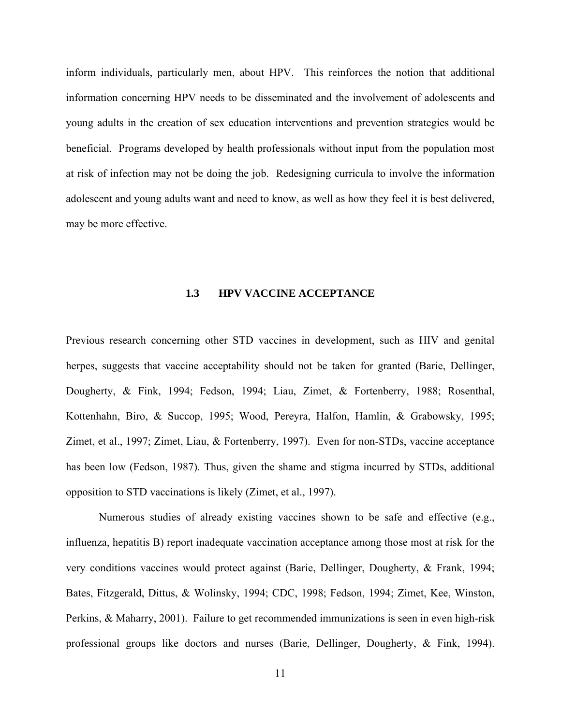<span id="page-20-0"></span>inform individuals, particularly men, about HPV. This reinforces the notion that additional information concerning HPV needs to be disseminated and the involvement of adolescents and young adults in the creation of sex education interventions and prevention strategies would be beneficial. Programs developed by health professionals without input from the population most at risk of infection may not be doing the job. Redesigning curricula to involve the information adolescent and young adults want and need to know, as well as how they feel it is best delivered, may be more effective.

#### **1.3 HPV VACCINE ACCEPTANCE**

Previous research concerning other STD vaccines in development, such as HIV and genital herpes, suggests that vaccine acceptability should not be taken for granted (Barie, Dellinger, Dougherty, & Fink, 1994; Fedson, 1994; Liau, Zimet, & Fortenberry, 1988; Rosenthal, Kottenhahn, Biro, & Succop, 1995; Wood, Pereyra, Halfon, Hamlin, & Grabowsky, 1995; Zimet, et al., 1997; Zimet, Liau, & Fortenberry, 1997). Even for non-STDs, vaccine acceptance has been low (Fedson, 1987). Thus, given the shame and stigma incurred by STDs, additional opposition to STD vaccinations is likely (Zimet, et al., 1997).

Numerous studies of already existing vaccines shown to be safe and effective (e.g., influenza, hepatitis B) report inadequate vaccination acceptance among those most at risk for the very conditions vaccines would protect against (Barie, Dellinger, Dougherty, & Frank, 1994; Bates, Fitzgerald, Dittus, & Wolinsky, 1994; CDC, 1998; Fedson, 1994; Zimet, Kee, Winston, Perkins, & Maharry, 2001). Failure to get recommended immunizations is seen in even high-risk professional groups like doctors and nurses (Barie, Dellinger, Dougherty, & Fink, 1994).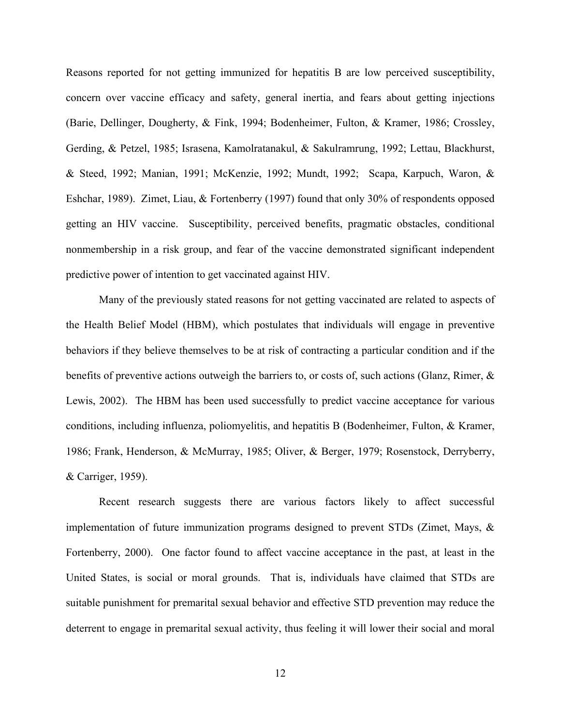Reasons reported for not getting immunized for hepatitis B are low perceived susceptibility, concern over vaccine efficacy and safety, general inertia, and fears about getting injections (Barie, Dellinger, Dougherty, & Fink, 1994; Bodenheimer, Fulton, & Kramer, 1986; Crossley, Gerding, & Petzel, 1985; Israsena, Kamolratanakul, & Sakulramrung, 1992; Lettau, Blackhurst, & Steed, 1992; Manian, 1991; McKenzie, 1992; Mundt, 1992; Scapa, Karpuch, Waron, & Eshchar, 1989). Zimet, Liau, & Fortenberry (1997) found that only 30% of respondents opposed getting an HIV vaccine. Susceptibility, perceived benefits, pragmatic obstacles, conditional nonmembership in a risk group, and fear of the vaccine demonstrated significant independent predictive power of intention to get vaccinated against HIV.

Many of the previously stated reasons for not getting vaccinated are related to aspects of the Health Belief Model (HBM), which postulates that individuals will engage in preventive behaviors if they believe themselves to be at risk of contracting a particular condition and if the benefits of preventive actions outweigh the barriers to, or costs of, such actions (Glanz, Rimer, & Lewis, 2002). The HBM has been used successfully to predict vaccine acceptance for various conditions, including influenza, poliomyelitis, and hepatitis B (Bodenheimer, Fulton, & Kramer, 1986; Frank, Henderson, & McMurray, 1985; Oliver, & Berger, 1979; Rosenstock, Derryberry, & Carriger, 1959).

Recent research suggests there are various factors likely to affect successful implementation of future immunization programs designed to prevent STDs (Zimet, Mays, & Fortenberry, 2000). One factor found to affect vaccine acceptance in the past, at least in the United States, is social or moral grounds. That is, individuals have claimed that STDs are suitable punishment for premarital sexual behavior and effective STD prevention may reduce the deterrent to engage in premarital sexual activity, thus feeling it will lower their social and moral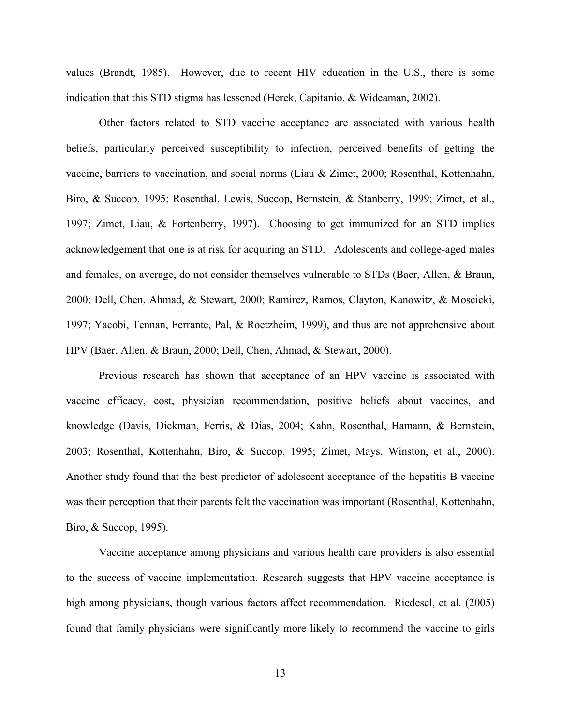values (Brandt, 1985). However, due to recent HIV education in the U.S., there is some indication that this STD stigma has lessened (Herek, Capitanio, & Wideaman, 2002).

Other factors related to STD vaccine acceptance are associated with various health beliefs, particularly perceived susceptibility to infection, perceived benefits of getting the vaccine, barriers to vaccination, and social norms (Liau & Zimet, 2000; Rosenthal, Kottenhahn, Biro, & Succop, 1995; Rosenthal, Lewis, Succop, Bernstein, & Stanberry, 1999; Zimet, et al., 1997; Zimet, Liau, & Fortenberry, 1997). Choosing to get immunized for an STD implies acknowledgement that one is at risk for acquiring an STD. Adolescents and college-aged males and females, on average, do not consider themselves vulnerable to STDs (Baer, Allen, & Braun, 2000; Dell, Chen, Ahmad, & Stewart, 2000; Ramirez, Ramos, Clayton, Kanowitz, & Moscicki, 1997; Yacobi, Tennan, Ferrante, Pal, & Roetzheim, 1999), and thus are not apprehensive about HPV (Baer, Allen, & Braun, 2000; Dell, Chen, Ahmad, & Stewart, 2000).

Previous research has shown that acceptance of an HPV vaccine is associated with vaccine efficacy, cost, physician recommendation, positive beliefs about vaccines, and knowledge (Davis, Dickman, Ferris, & Dias, 2004; Kahn, Rosenthal, Hamann, & Bernstein, 2003; Rosenthal, Kottenhahn, Biro, & Succop, 1995; Zimet, Mays, Winston, et al., 2000). Another study found that the best predictor of adolescent acceptance of the hepatitis B vaccine was their perception that their parents felt the vaccination was important (Rosenthal, Kottenhahn, Biro, & Succop, 1995).

Vaccine acceptance among physicians and various health care providers is also essential to the success of vaccine implementation. Research suggests that HPV vaccine acceptance is high among physicians, though various factors affect recommendation. Riedesel, et al. (2005) found that family physicians were significantly more likely to recommend the vaccine to girls

13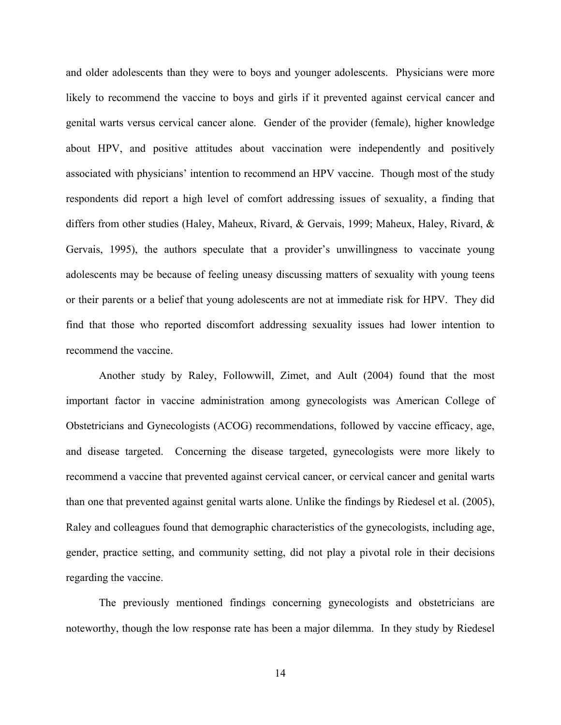and older adolescents than they were to boys and younger adolescents. Physicians were more likely to recommend the vaccine to boys and girls if it prevented against cervical cancer and genital warts versus cervical cancer alone. Gender of the provider (female), higher knowledge about HPV, and positive attitudes about vaccination were independently and positively associated with physicians' intention to recommend an HPV vaccine. Though most of the study respondents did report a high level of comfort addressing issues of sexuality, a finding that differs from other studies (Haley, Maheux, Rivard, & Gervais, 1999; Maheux, Haley, Rivard, & Gervais, 1995), the authors speculate that a provider's unwillingness to vaccinate young adolescents may be because of feeling uneasy discussing matters of sexuality with young teens or their parents or a belief that young adolescents are not at immediate risk for HPV. They did find that those who reported discomfort addressing sexuality issues had lower intention to recommend the vaccine.

Another study by Raley, Followwill, Zimet, and Ault (2004) found that the most important factor in vaccine administration among gynecologists was American College of Obstetricians and Gynecologists (ACOG) recommendations, followed by vaccine efficacy, age, and disease targeted. Concerning the disease targeted, gynecologists were more likely to recommend a vaccine that prevented against cervical cancer, or cervical cancer and genital warts than one that prevented against genital warts alone. Unlike the findings by Riedesel et al. (2005), Raley and colleagues found that demographic characteristics of the gynecologists, including age, gender, practice setting, and community setting, did not play a pivotal role in their decisions regarding the vaccine.

The previously mentioned findings concerning gynecologists and obstetricians are noteworthy, though the low response rate has been a major dilemma. In they study by Riedesel

14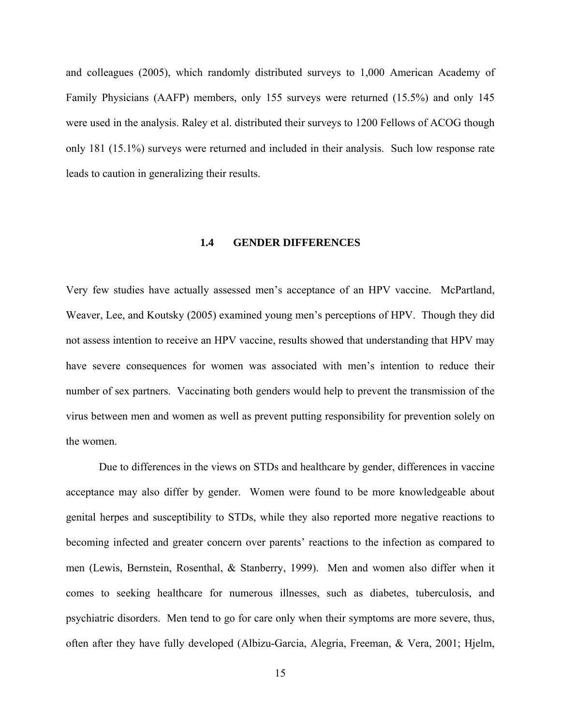<span id="page-24-0"></span>and colleagues (2005), which randomly distributed surveys to 1,000 American Academy of Family Physicians (AAFP) members, only 155 surveys were returned (15.5%) and only 145 were used in the analysis. Raley et al. distributed their surveys to 1200 Fellows of ACOG though only 181 (15.1%) surveys were returned and included in their analysis. Such low response rate leads to caution in generalizing their results.

#### **1.4 GENDER DIFFERENCES**

Very few studies have actually assessed men's acceptance of an HPV vaccine. McPartland, Weaver, Lee, and Koutsky (2005) examined young men's perceptions of HPV. Though they did not assess intention to receive an HPV vaccine, results showed that understanding that HPV may have severe consequences for women was associated with men's intention to reduce their number of sex partners. Vaccinating both genders would help to prevent the transmission of the virus between men and women as well as prevent putting responsibility for prevention solely on the women.

Due to differences in the views on STDs and healthcare by gender, differences in vaccine acceptance may also differ by gender. Women were found to be more knowledgeable about genital herpes and susceptibility to STDs, while they also reported more negative reactions to becoming infected and greater concern over parents' reactions to the infection as compared to men (Lewis, Bernstein, Rosenthal, & Stanberry, 1999). Men and women also differ when it comes to seeking healthcare for numerous illnesses, such as diabetes, tuberculosis, and psychiatric disorders. Men tend to go for care only when their symptoms are more severe, thus, often after they have fully developed (Albizu-Garcia, Alegria, Freeman, & Vera, 2001; Hjelm,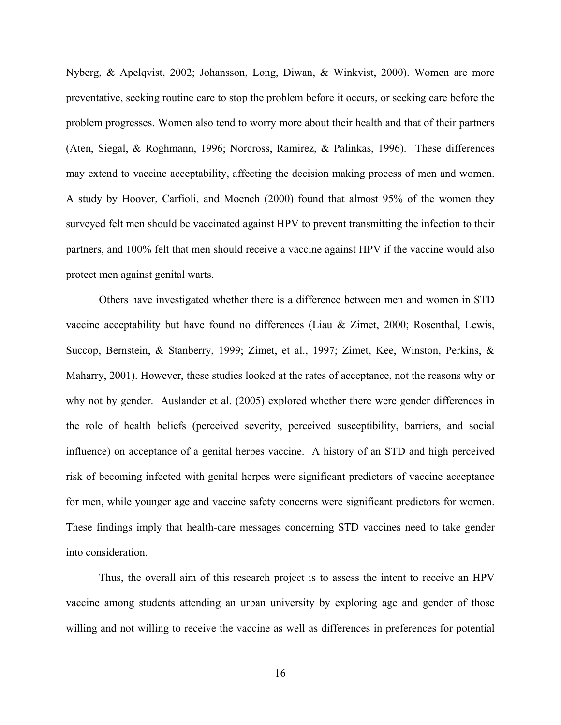Nyberg, & Apelqvist, 2002; Johansson, Long, Diwan, & Winkvist, 2000). Women are more preventative, seeking routine care to stop the problem before it occurs, or seeking care before the problem progresses. Women also tend to worry more about their health and that of their partners (Aten, Siegal, & Roghmann, 1996; Norcross, Ramirez, & Palinkas, 1996). These differences may extend to vaccine acceptability, affecting the decision making process of men and women. A study by Hoover, Carfioli, and Moench (2000) found that almost 95% of the women they surveyed felt men should be vaccinated against HPV to prevent transmitting the infection to their partners, and 100% felt that men should receive a vaccine against HPV if the vaccine would also protect men against genital warts.

Others have investigated whether there is a difference between men and women in STD vaccine acceptability but have found no differences (Liau & Zimet, 2000; Rosenthal, Lewis, Succop, Bernstein, & Stanberry, 1999; Zimet, et al., 1997; Zimet, Kee, Winston, Perkins, & Maharry, 2001). However, these studies looked at the rates of acceptance, not the reasons why or why not by gender. Auslander et al. (2005) explored whether there were gender differences in the role of health beliefs (perceived severity, perceived susceptibility, barriers, and social influence) on acceptance of a genital herpes vaccine. A history of an STD and high perceived risk of becoming infected with genital herpes were significant predictors of vaccine acceptance for men, while younger age and vaccine safety concerns were significant predictors for women. These findings imply that health-care messages concerning STD vaccines need to take gender into consideration.

Thus, the overall aim of this research project is to assess the intent to receive an HPV vaccine among students attending an urban university by exploring age and gender of those willing and not willing to receive the vaccine as well as differences in preferences for potential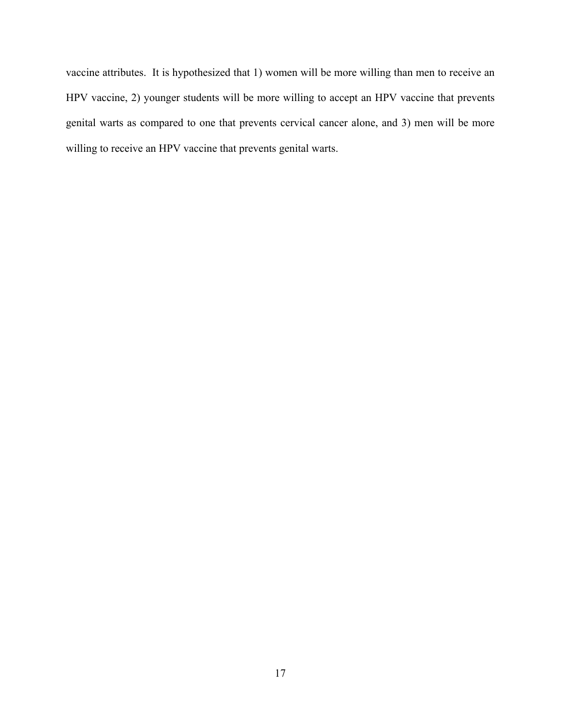vaccine attributes. It is hypothesized that 1) women will be more willing than men to receive an HPV vaccine, 2) younger students will be more willing to accept an HPV vaccine that prevents genital warts as compared to one that prevents cervical cancer alone, and 3) men will be more willing to receive an HPV vaccine that prevents genital warts.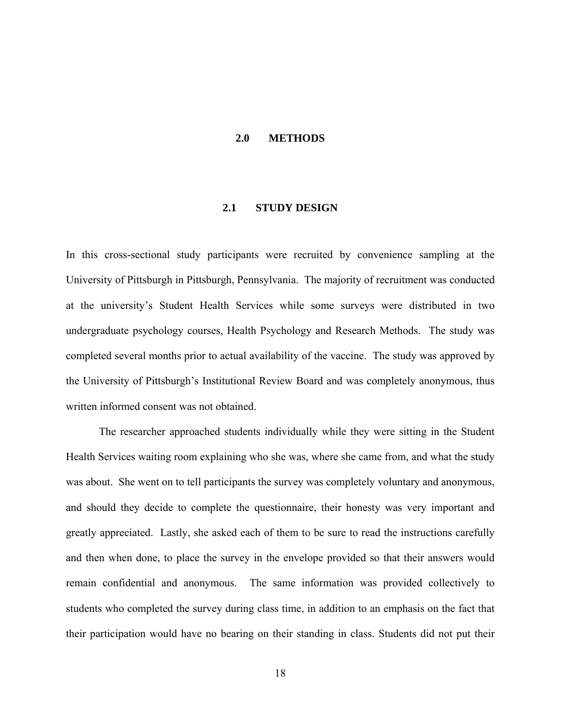#### **2.0 METHODS**

#### **2.1 STUDY DESIGN**

<span id="page-27-0"></span>In this cross-sectional study participants were recruited by convenience sampling at the University of Pittsburgh in Pittsburgh, Pennsylvania. The majority of recruitment was conducted at the university's Student Health Services while some surveys were distributed in two undergraduate psychology courses, Health Psychology and Research Methods. The study was completed several months prior to actual availability of the vaccine. The study was approved by the University of Pittsburgh's Institutional Review Board and was completely anonymous, thus written informed consent was not obtained.

The researcher approached students individually while they were sitting in the Student Health Services waiting room explaining who she was, where she came from, and what the study was about. She went on to tell participants the survey was completely voluntary and anonymous, and should they decide to complete the questionnaire, their honesty was very important and greatly appreciated. Lastly, she asked each of them to be sure to read the instructions carefully and then when done, to place the survey in the envelope provided so that their answers would remain confidential and anonymous. The same information was provided collectively to students who completed the survey during class time, in addition to an emphasis on the fact that their participation would have no bearing on their standing in class. Students did not put their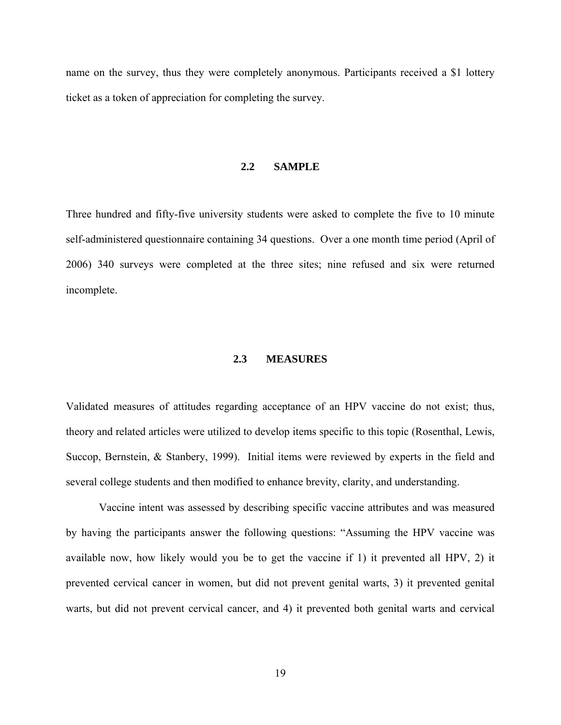<span id="page-28-0"></span>name on the survey, thus they were completely anonymous. Participants received a \$1 lottery ticket as a token of appreciation for completing the survey.

#### **2.2 SAMPLE**

Three hundred and fifty-five university students were asked to complete the five to 10 minute self-administered questionnaire containing 34 questions. Over a one month time period (April of 2006) 340 surveys were completed at the three sites; nine refused and six were returned incomplete.

#### **2.3 MEASURES**

Validated measures of attitudes regarding acceptance of an HPV vaccine do not exist; thus, theory and related articles were utilized to develop items specific to this topic (Rosenthal, Lewis, Succop, Bernstein, & Stanbery, 1999). Initial items were reviewed by experts in the field and several college students and then modified to enhance brevity, clarity, and understanding.

Vaccine intent was assessed by describing specific vaccine attributes and was measured by having the participants answer the following questions: "Assuming the HPV vaccine was available now, how likely would you be to get the vaccine if 1) it prevented all HPV, 2) it prevented cervical cancer in women, but did not prevent genital warts, 3) it prevented genital warts, but did not prevent cervical cancer, and 4) it prevented both genital warts and cervical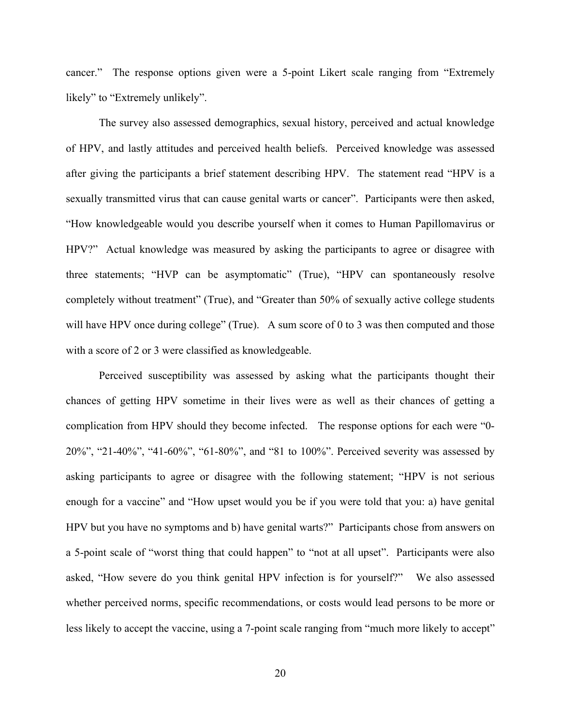cancer." The response options given were a 5-point Likert scale ranging from "Extremely likely" to "Extremely unlikely".

The survey also assessed demographics, sexual history, perceived and actual knowledge of HPV, and lastly attitudes and perceived health beliefs. Perceived knowledge was assessed after giving the participants a brief statement describing HPV. The statement read "HPV is a sexually transmitted virus that can cause genital warts or cancer". Participants were then asked, "How knowledgeable would you describe yourself when it comes to Human Papillomavirus or HPV?" Actual knowledge was measured by asking the participants to agree or disagree with three statements; "HVP can be asymptomatic" (True), "HPV can spontaneously resolve completely without treatment" (True), and "Greater than 50% of sexually active college students will have HPV once during college" (True). A sum score of 0 to 3 was then computed and those with a score of 2 or 3 were classified as knowledgeable.

Perceived susceptibility was assessed by asking what the participants thought their chances of getting HPV sometime in their lives were as well as their chances of getting a complication from HPV should they become infected. The response options for each were "0- 20%", "21-40%", "41-60%", "61-80%", and "81 to 100%". Perceived severity was assessed by asking participants to agree or disagree with the following statement; "HPV is not serious enough for a vaccine" and "How upset would you be if you were told that you: a) have genital HPV but you have no symptoms and b) have genital warts?" Participants chose from answers on a 5-point scale of "worst thing that could happen" to "not at all upset". Participants were also asked, "How severe do you think genital HPV infection is for yourself?" We also assessed whether perceived norms, specific recommendations, or costs would lead persons to be more or less likely to accept the vaccine, using a 7-point scale ranging from "much more likely to accept"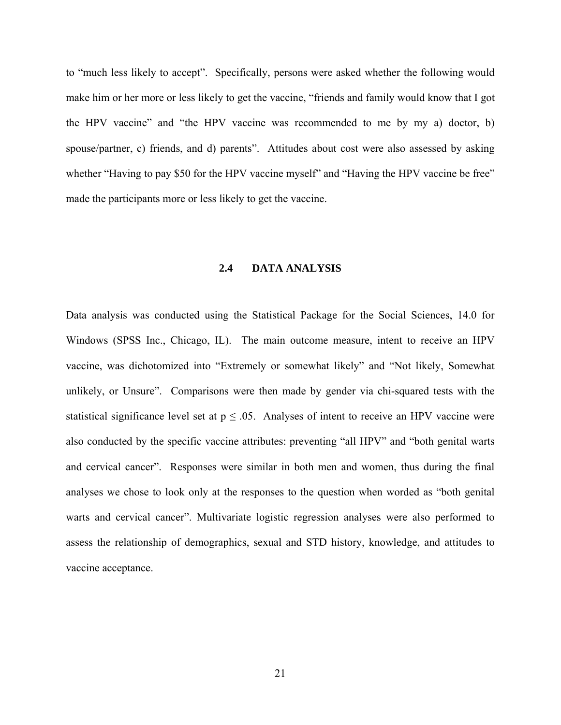<span id="page-30-0"></span>to "much less likely to accept". Specifically, persons were asked whether the following would make him or her more or less likely to get the vaccine, "friends and family would know that I got the HPV vaccine" and "the HPV vaccine was recommended to me by my a) doctor, b) spouse/partner, c) friends, and d) parents". Attitudes about cost were also assessed by asking whether "Having to pay \$50 for the HPV vaccine myself" and "Having the HPV vaccine be free" made the participants more or less likely to get the vaccine.

#### **2.4 DATA ANALYSIS**

Data analysis was conducted using the Statistical Package for the Social Sciences, 14.0 for Windows (SPSS Inc., Chicago, IL). The main outcome measure, intent to receive an HPV vaccine, was dichotomized into "Extremely or somewhat likely" and "Not likely, Somewhat unlikely, or Unsure". Comparisons were then made by gender via chi-squared tests with the statistical significance level set at  $p \leq 0.05$ . Analyses of intent to receive an HPV vaccine were also conducted by the specific vaccine attributes: preventing "all HPV" and "both genital warts and cervical cancer". Responses were similar in both men and women, thus during the final analyses we chose to look only at the responses to the question when worded as "both genital warts and cervical cancer". Multivariate logistic regression analyses were also performed to assess the relationship of demographics, sexual and STD history, knowledge, and attitudes to vaccine acceptance.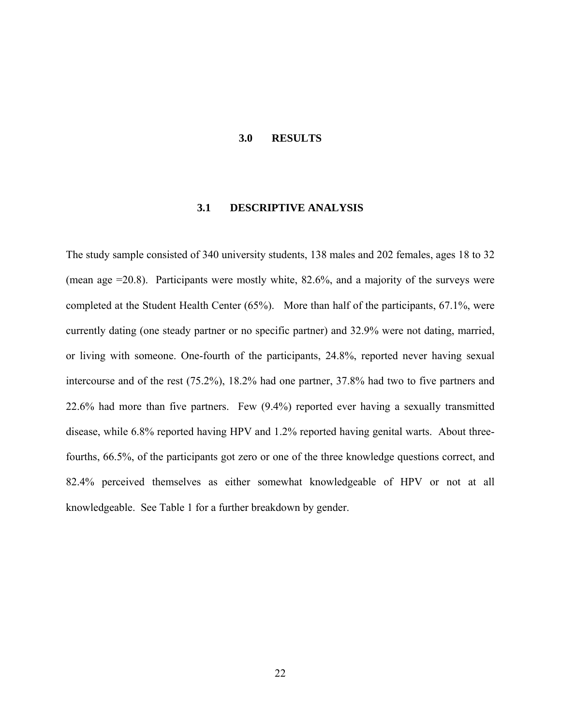#### **3.0 RESULTS**

#### **3.1 DESCRIPTIVE ANALYSIS**

<span id="page-31-0"></span>The study sample consisted of 340 university students, 138 males and 202 females, ages 18 to 32 (mean age =20.8). Participants were mostly white, 82.6%, and a majority of the surveys were completed at the Student Health Center (65%). More than half of the participants, 67.1%, were currently dating (one steady partner or no specific partner) and 32.9% were not dating, married, or living with someone. One-fourth of the participants, 24.8%, reported never having sexual intercourse and of the rest (75.2%), 18.2% had one partner, 37.8% had two to five partners and 22.6% had more than five partners. Few (9.4%) reported ever having a sexually transmitted disease, while 6.8% reported having HPV and 1.2% reported having genital warts. About threefourths, 66.5%, of the participants got zero or one of the three knowledge questions correct, and 82.4% perceived themselves as either somewhat knowledgeable of HPV or not at all knowledgeable. See Table 1 for a further breakdown by gender.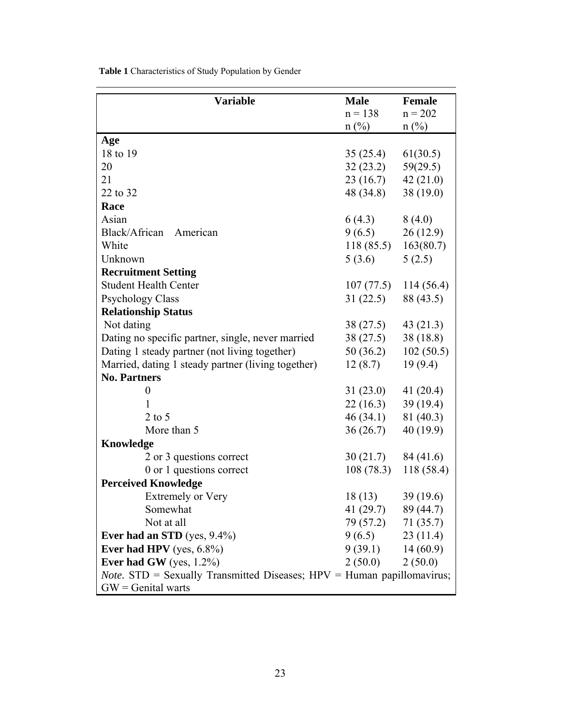| <b>Variable</b>                                                                   | <b>Male</b>             | Female      |
|-----------------------------------------------------------------------------------|-------------------------|-------------|
|                                                                                   | $n = 138$               | $n = 202$   |
|                                                                                   | $n$ (%)                 | $n$ (%)     |
| Age                                                                               |                         |             |
| 18 to 19                                                                          | 35(25.4)                | 61(30.5)    |
| 20                                                                                | 32(23.2)                | 59(29.5)    |
| 21                                                                                | 23(16.7)                | 42(21.0)    |
| 22 to 32                                                                          | 48 (34.8)               | 38(19.0)    |
| Race                                                                              |                         |             |
| Asian                                                                             | 6(4.3)                  | 8(4.0)      |
| Black/African<br>American                                                         | 9(6.5)                  | 26(12.9)    |
| White                                                                             | 118(85.5)               | 163(80.7)   |
| Unknown                                                                           | 5(3.6)                  | 5(2.5)      |
| <b>Recruitment Setting</b>                                                        |                         |             |
| <b>Student Health Center</b>                                                      | 107(77.5)               | 114(56.4)   |
| <b>Psychology Class</b>                                                           | 31(22.5)                | 88 (43.5)   |
| <b>Relationship Status</b>                                                        |                         |             |
| Not dating                                                                        | 38 (27.5)               | 43(21.3)    |
| Dating no specific partner, single, never married                                 | 38(27.5)                | 38(18.8)    |
| Dating 1 steady partner (not living together)                                     | 50 (36.2)               | 102(50.5)   |
| Married, dating 1 steady partner (living together)                                | 12(8.7)                 | 19(9.4)     |
| <b>No. Partners</b>                                                               |                         |             |
| $\boldsymbol{0}$                                                                  | 31(23.0)                | 41 $(20.4)$ |
| 1                                                                                 | 22(16.3)                | 39(19.4)    |
| $2$ to 5                                                                          | 46(34.1)                | 81 (40.3)   |
| More than 5                                                                       | 36(26.7)                | 40(19.9)    |
| Knowledge                                                                         |                         |             |
| 2 or 3 questions correct                                                          | 30(21.7)                | 84 (41.6)   |
| 0 or 1 questions correct                                                          | 108(78.3)               | 118 (58.4)  |
| <b>Perceived Knowledge</b>                                                        |                         |             |
| <b>Extremely or Very</b>                                                          | 18(13)                  | 39 (19.6)   |
| Somewhat                                                                          | 41 $(29.7)$ 89 $(44.7)$ |             |
| Not at all                                                                        | 79 (57.2) 71 (35.7)     |             |
| Ever had an STD (yes, $9.4\%$ )                                                   | $9(6.5)$ 23 (11.4)      |             |
| Ever had HPV (yes, $6.8\%$ )                                                      | $9(39.1)$ 14 (60.9)     |             |
| Ever had GW (yes, $1.2\%$ )                                                       | 2(50.0)                 | 2(50.0)     |
| <i>Note.</i> $STD =$ Sexually Transmitted Diseases; $HPV =$ Human papillomavirus; |                         |             |
| $GW =$ Genital warts                                                              |                         |             |

<span id="page-32-0"></span>**Table 1** Characteristics of Study Population by Gender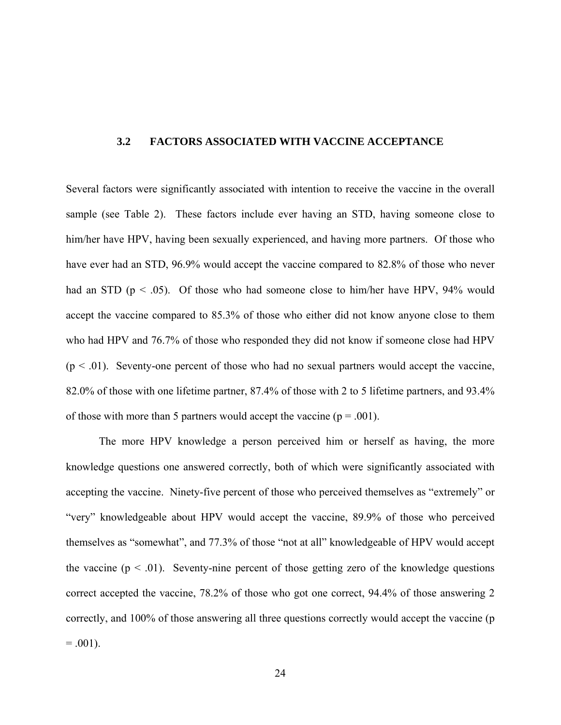#### <span id="page-33-0"></span>**3.2 FACTORS ASSOCIATED WITH VACCINE ACCEPTANCE**

Several factors were significantly associated with intention to receive the vaccine in the overall sample (see Table 2). These factors include ever having an STD, having someone close to him/her have HPV, having been sexually experienced, and having more partners. Of those who have ever had an STD, 96.9% would accept the vaccine compared to 82.8% of those who never had an STD ( $p < .05$ ). Of those who had someone close to him/her have HPV, 94% would accept the vaccine compared to 85.3% of those who either did not know anyone close to them who had HPV and 76.7% of those who responded they did not know if someone close had HPV  $(p < .01)$ . Seventy-one percent of those who had no sexual partners would accept the vaccine, 82.0% of those with one lifetime partner, 87.4% of those with 2 to 5 lifetime partners, and 93.4% of those with more than 5 partners would accept the vaccine ( $p = .001$ ).

The more HPV knowledge a person perceived him or herself as having, the more knowledge questions one answered correctly, both of which were significantly associated with accepting the vaccine. Ninety-five percent of those who perceived themselves as "extremely" or "very" knowledgeable about HPV would accept the vaccine, 89.9% of those who perceived themselves as "somewhat", and 77.3% of those "not at all" knowledgeable of HPV would accept the vaccine  $(p \le 0.01)$ . Seventy-nine percent of those getting zero of the knowledge questions correct accepted the vaccine, 78.2% of those who got one correct, 94.4% of those answering 2 correctly, and 100% of those answering all three questions correctly would accept the vaccine (p  $= .001$ ).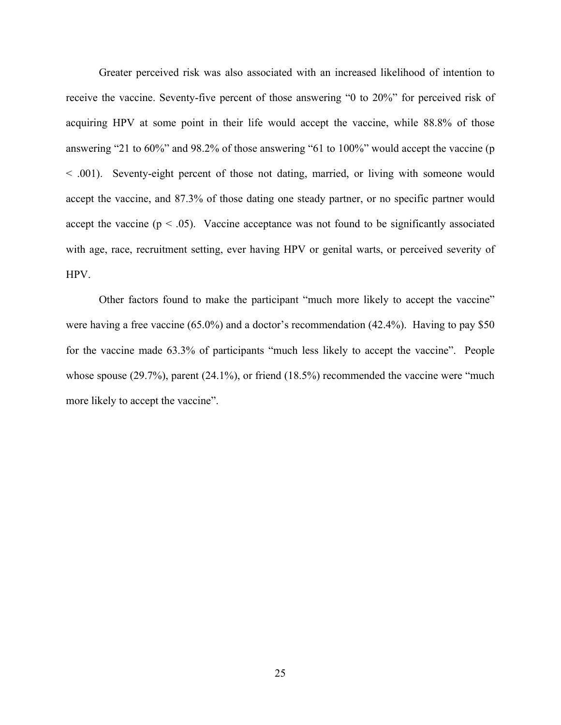Greater perceived risk was also associated with an increased likelihood of intention to receive the vaccine. Seventy-five percent of those answering "0 to 20%" for perceived risk of acquiring HPV at some point in their life would accept the vaccine, while 88.8% of those answering "21 to 60%" and 98.2% of those answering "61 to 100%" would accept the vaccine (p < .001). Seventy-eight percent of those not dating, married, or living with someone would accept the vaccine, and 87.3% of those dating one steady partner, or no specific partner would accept the vaccine  $(p < .05)$ . Vaccine acceptance was not found to be significantly associated with age, race, recruitment setting, ever having HPV or genital warts, or perceived severity of HPV.

Other factors found to make the participant "much more likely to accept the vaccine" were having a free vaccine (65.0%) and a doctor's recommendation (42.4%). Having to pay \$50 for the vaccine made 63.3% of participants "much less likely to accept the vaccine". People whose spouse (29.7%), parent (24.1%), or friend (18.5%) recommended the vaccine were "much" more likely to accept the vaccine".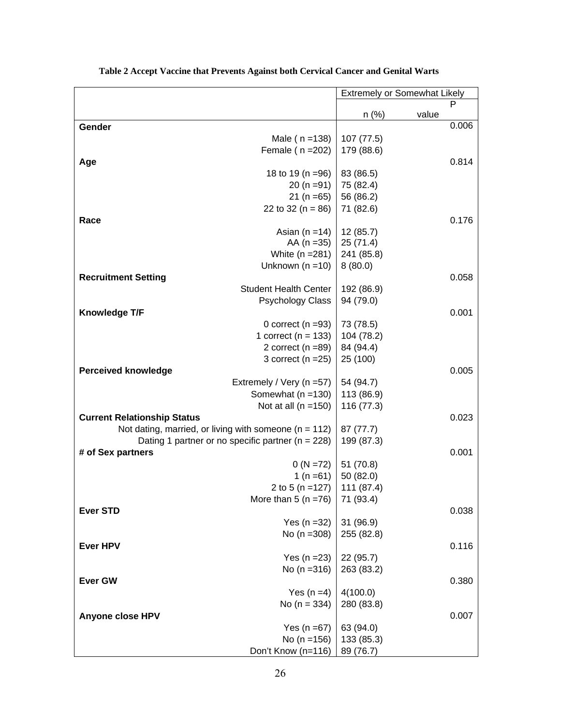<span id="page-35-0"></span>

|                                                              | <b>Extremely or Somewhat Likely</b> |       |       |
|--------------------------------------------------------------|-------------------------------------|-------|-------|
|                                                              | n(%)                                |       | P     |
| Gender                                                       |                                     | value | 0.006 |
| Male $(n = 138)$                                             | 107 (77.5)                          |       |       |
| Female ( n = 202)                                            | 179 (88.6)                          |       |       |
| Age                                                          |                                     |       | 0.814 |
| 18 to 19 (n = 96)                                            | 83 (86.5)                           |       |       |
| $20(n=91)$                                                   | 75 (82.4)                           |       |       |
| $21 (n = 65)$                                                | 56 (86.2)                           |       |       |
| 22 to 32 ( $n = 86$ )                                        | 71 (82.6)                           |       |       |
| Race                                                         |                                     |       | 0.176 |
| Asian ( $n = 14$ )                                           | 12 (85.7)                           |       |       |
| AA ( $n = 35$ )                                              | 25 (71.4)                           |       |       |
| White $(n = 281)$                                            | 241 (85.8)                          |       |       |
| Unknown $(n = 10)$                                           | 8(80.0)                             |       |       |
| <b>Recruitment Setting</b>                                   |                                     |       | 0.058 |
| <b>Student Health Center</b>                                 | 192 (86.9)                          |       |       |
| Psychology Class                                             | 94 (79.0)                           |       |       |
| <b>Knowledge T/F</b>                                         |                                     |       | 0.001 |
| 0 correct ( $n = 93$ )                                       | 73 (78.5)                           |       |       |
| 1 correct ( $n = 133$ )                                      | 104 (78.2)                          |       |       |
| 2 correct $(n = 89)$                                         | 84 (94.4)                           |       |       |
| 3 correct $(n = 25)$                                         | 25 (100)                            |       |       |
| <b>Perceived knowledge</b>                                   |                                     |       | 0.005 |
| Extremely / Very (n = 57)                                    | 54 (94.7)                           |       |       |
| Somewhat $(n = 130)$                                         | 113 (86.9)                          |       |       |
| Not at all $(n = 150)$<br><b>Current Relationship Status</b> | 116 (77.3)                          |       | 0.023 |
| Not dating, married, or living with someone ( $n = 112$ )    | 87 (77.7)                           |       |       |
| Dating 1 partner or no specific partner ( $n = 228$ )        | 199 (87.3)                          |       |       |
| # of Sex partners                                            |                                     |       | 0.001 |
| $0 (N = 72)$                                                 | 51 (70.8)                           |       |       |
| 1 (n = 61)                                                   | 50 (82.0)                           |       |       |
| 2 to 5 (n = $127$ )                                          | 111 (87.4)                          |       |       |
| More than 5 (n = $76$ )                                      | 71 (93.4)                           |       |       |
| <b>Ever STD</b>                                              |                                     |       | 0.038 |
| Yes ( $n = 32$ )                                             | 31 (96.9)                           |       |       |
| No $(n = 308)$                                               | 255 (82.8)                          |       |       |
| <b>Ever HPV</b>                                              |                                     |       | 0.116 |
| Yes ( $n = 23$ )                                             | 22 (95.7)                           |       |       |
| No $(n = 316)$                                               | 263 (83.2)                          |       |       |
| <b>Ever GW</b>                                               |                                     |       | 0.380 |
| Yes $(n=4)$                                                  | 4(100.0)                            |       |       |
| No $(n = 334)$                                               | 280 (83.8)                          |       |       |
| Anyone close HPV                                             |                                     |       | 0.007 |
| Yes ( $n = 67$ )                                             | 63 (94.0)                           |       |       |
| No ( $n = 156$ )                                             | 133 (85.3)                          |       |       |
| Don't Know (n=116)                                           | 89 (76.7)                           |       |       |

|  | Table 2 Accept Vaccine that Prevents Against both Cervical Cancer and Genital Warts |  |  |
|--|-------------------------------------------------------------------------------------|--|--|
|  |                                                                                     |  |  |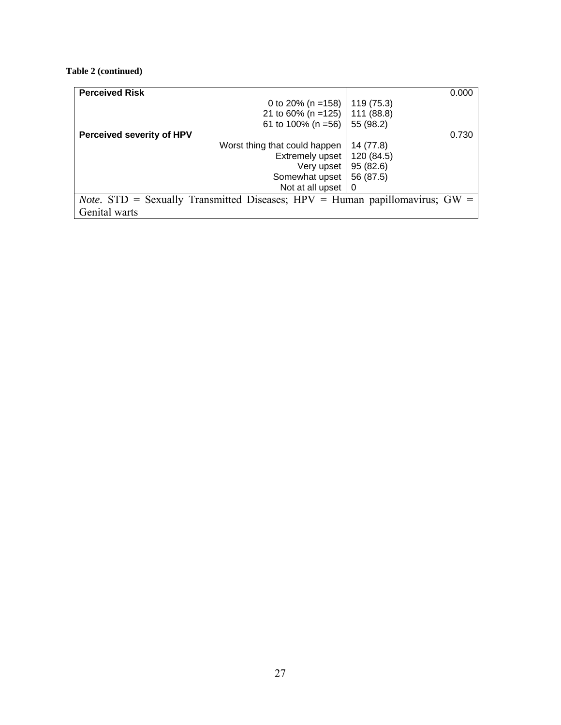#### <span id="page-36-0"></span>**Table 2 (continued)**

| <b>Perceived Risk</b>            |                                                                                        |            | 0.000 |
|----------------------------------|----------------------------------------------------------------------------------------|------------|-------|
|                                  | 0 to 20% (n = $158$ )                                                                  | 119 (75.3) |       |
|                                  | 21 to 60% (n = 125)                                                                    | 111 (88.8) |       |
|                                  | 61 to 100% (n = $56$ )                                                                 | 55 (98.2)  |       |
| <b>Perceived severity of HPV</b> |                                                                                        |            | 0.730 |
|                                  | Worst thing that could happen                                                          | 14 (77.8)  |       |
|                                  | Extremely upset                                                                        | 120 (84.5) |       |
|                                  | Very upset                                                                             | 95 (82.6)  |       |
|                                  | Somewhat upset                                                                         | 56 (87.5)  |       |
|                                  | Not at all upset $\vert 0 \rangle$                                                     |            |       |
|                                  | <i>Note.</i> STD = Sexually Transmitted Diseases; $HPV = Human$ papillomavirus; $GW =$ |            |       |
| Genital warts                    |                                                                                        |            |       |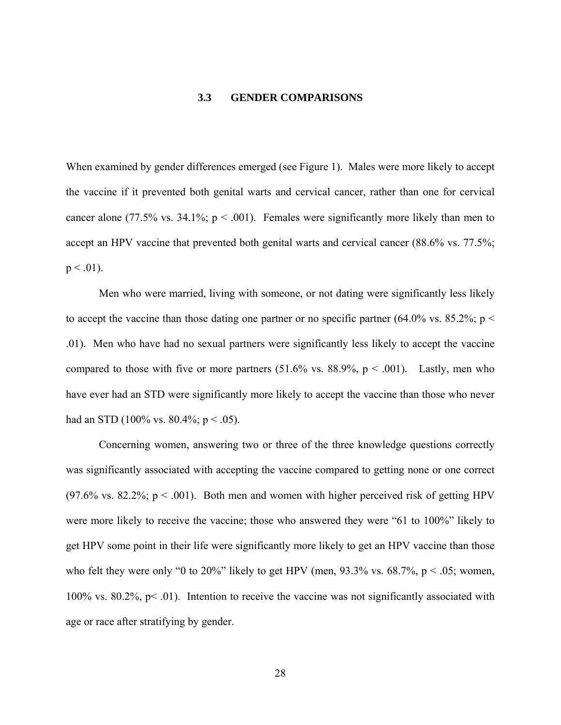#### **3.3 GENDER COMPARISONS**

<span id="page-37-0"></span>When examined by gender differences emerged (see Figure 1). Males were more likely to accept the vaccine if it prevented both genital warts and cervical cancer, rather than one for cervical cancer alone (77.5% vs. 34.1%;  $p < .001$ ). Females were significantly more likely than men to accept an HPV vaccine that prevented both genital warts and cervical cancer (88.6% vs. 77.5%;  $p < .01$ ).

Men who were married, living with someone, or not dating were significantly less likely to accept the vaccine than those dating one partner or no specific partner  $(64.0\%$  vs.  $85.2\%$ ; p < .01). Men who have had no sexual partners were significantly less likely to accept the vaccine compared to those with five or more partners  $(51.6\% \text{ vs. } 88.9\%, \text{ p} < .001)$ . Lastly, men who have ever had an STD were significantly more likely to accept the vaccine than those who never had an STD (100% vs. 80.4%;  $p < .05$ ).

Concerning women, answering two or three of the three knowledge questions correctly was significantly associated with accepting the vaccine compared to getting none or one correct  $(97.6\% \text{ vs. } 82.2\%; \text{ p} < .001)$ . Both men and women with higher perceived risk of getting HPV were more likely to receive the vaccine; those who answered they were "61 to 100%" likely to get HPV some point in their life were significantly more likely to get an HPV vaccine than those who felt they were only "0 to 20%" likely to get HPV (men,  $93.3\%$  vs.  $68.7\%$ ,  $p < .05$ ; women, 100% vs. 80.2%,  $p< 0.01$ ). Intention to receive the vaccine was not significantly associated with age or race after stratifying by gender.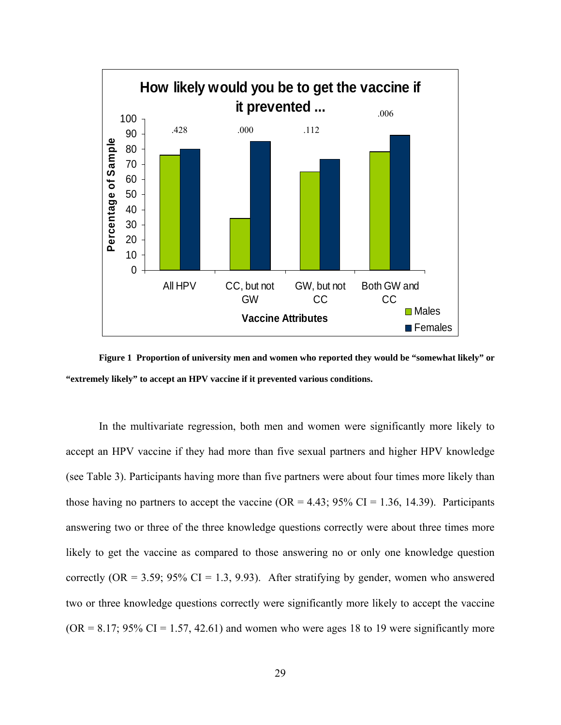<span id="page-38-0"></span>

**Figure 1 Proportion of university men and women who reported they would be "somewhat likely" or "extremely likely" to accept an HPV vaccine if it prevented various conditions.** 

In the multivariate regression, both men and women were significantly more likely to accept an HPV vaccine if they had more than five sexual partners and higher HPV knowledge (see Table 3). Participants having more than five partners were about four times more likely than those having no partners to accept the vaccine ( $OR = 4.43$ ;  $95\%$  CI = 1.36, 14.39). Participants answering two or three of the three knowledge questions correctly were about three times more likely to get the vaccine as compared to those answering no or only one knowledge question correctly  $(OR = 3.59; 95\% \text{ CI} = 1.3, 9.93)$ . After stratifying by gender, women who answered two or three knowledge questions correctly were significantly more likely to accept the vaccine  $(OR = 8.17; 95\% CI = 1.57, 42.61)$  and women who were ages 18 to 19 were significantly more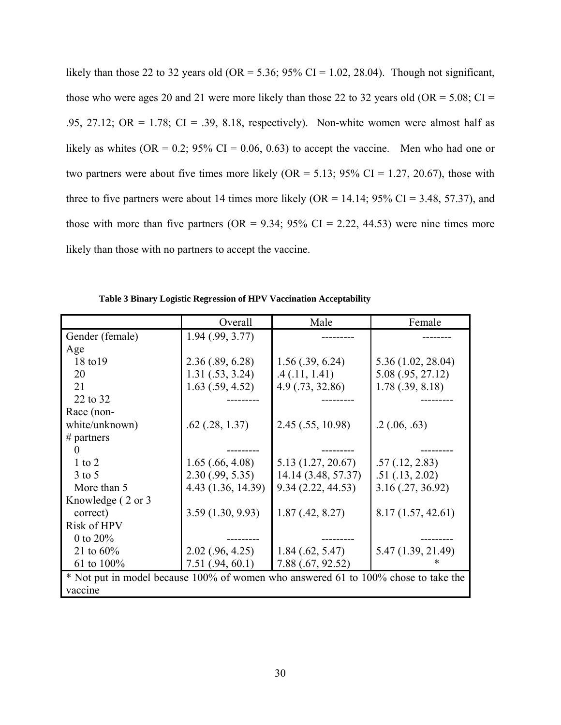<span id="page-39-0"></span>likely than those 22 to 32 years old (OR = 5.36; 95% CI = 1.02, 28.04). Though not significant, those who were ages 20 and 21 were more likely than those 22 to 32 years old (OR =  $5.08$ ; CI = .95, 27.12; OR = 1.78; CI = .39, 8.18, respectively). Non-white women were almost half as likely as whites (OR = 0.2; 95% CI = 0.06, 0.63) to accept the vaccine. Men who had one or two partners were about five times more likely  $(OR = 5.13; 95\% CI = 1.27, 20.67)$ , those with three to five partners were about 14 times more likely (OR =  $14.14$ ; 95% CI = 3.48, 57.37), and those with more than five partners ( $OR = 9.34$ ;  $95\%$   $CI = 2.22$ , 44.53) were nine times more likely than those with no partners to accept the vaccine.

|                                                                                    | Overall              | Male                | Female             |  |
|------------------------------------------------------------------------------------|----------------------|---------------------|--------------------|--|
| Gender (female)                                                                    | 1.94(0.99, 3.77)     |                     |                    |  |
| Age                                                                                |                      |                     |                    |  |
| 18 to 19                                                                           | 2.36(.89, 6.28)      | $1.56$ (.39, 6.24)  | 5.36 (1.02, 28.04) |  |
| 20                                                                                 | 1.31(.53, 3.24)      | .4(0.11, 1.41)      | 5.08 (.95, 27.12)  |  |
| 21                                                                                 | $1.63$ $(.59, 4.52)$ | 4.9(0.73, 32.86)    | 1.78(.39, 8.18)    |  |
| 22 to 32                                                                           |                      |                     |                    |  |
| Race (non-                                                                         |                      |                     |                    |  |
| white/unknown)                                                                     | $.62$ $(.28, 1.37)$  | 2.45 (.55, 10.98)   | .2(0.06, 0.63)     |  |
| # partners                                                                         |                      |                     |                    |  |
|                                                                                    |                      |                     |                    |  |
| $1$ to $2$                                                                         | $1.65$ (.66, 4.08)   | 5.13 (1.27, 20.67)  | .57(.12, 2.83)     |  |
| $3$ to $5$                                                                         | 2.30(.99, 5.35)      | 14.14 (3.48, 57.37) | .51(.13, 2.02)     |  |
| More than 5                                                                        | 4.43 (1.36, 14.39)   | 9.34(2.22, 44.53)   | 3.16(.27, 36.92)   |  |
| Knowledge (2 or 3)                                                                 |                      |                     |                    |  |
| correct)                                                                           | 3.59(1.30, 9.93)     | 1.87(0.42, 8.27)    | 8.17 (1.57, 42.61) |  |
| <b>Risk of HPV</b>                                                                 |                      |                     |                    |  |
| 0 to $20\%$                                                                        |                      |                     |                    |  |
| 21 to $60\%$                                                                       | $2.02$ (.96, 4.25)   | $1.84$ (.62, 5.47)  | 5.47 (1.39, 21.49) |  |
| 61 to 100%                                                                         | 7.51(.94, 60.1)      | 7.88 (.67, 92.52)   |                    |  |
| * Not put in model because 100% of women who answered 61 to 100% chose to take the |                      |                     |                    |  |
| vaccine                                                                            |                      |                     |                    |  |

**Table 3 Binary Logistic Regression of HPV Vaccination Acceptability**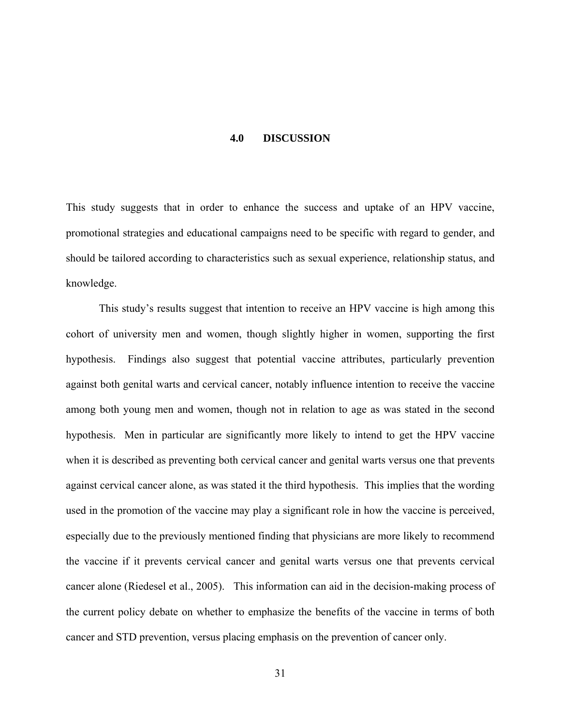#### **4.0 DISCUSSION**

<span id="page-40-0"></span>This study suggests that in order to enhance the success and uptake of an HPV vaccine, promotional strategies and educational campaigns need to be specific with regard to gender, and should be tailored according to characteristics such as sexual experience, relationship status, and knowledge.

This study's results suggest that intention to receive an HPV vaccine is high among this cohort of university men and women, though slightly higher in women, supporting the first hypothesis. Findings also suggest that potential vaccine attributes, particularly prevention against both genital warts and cervical cancer, notably influence intention to receive the vaccine among both young men and women, though not in relation to age as was stated in the second hypothesis. Men in particular are significantly more likely to intend to get the HPV vaccine when it is described as preventing both cervical cancer and genital warts versus one that prevents against cervical cancer alone, as was stated it the third hypothesis. This implies that the wording used in the promotion of the vaccine may play a significant role in how the vaccine is perceived, especially due to the previously mentioned finding that physicians are more likely to recommend the vaccine if it prevents cervical cancer and genital warts versus one that prevents cervical cancer alone (Riedesel et al., 2005). This information can aid in the decision-making process of the current policy debate on whether to emphasize the benefits of the vaccine in terms of both cancer and STD prevention, versus placing emphasis on the prevention of cancer only.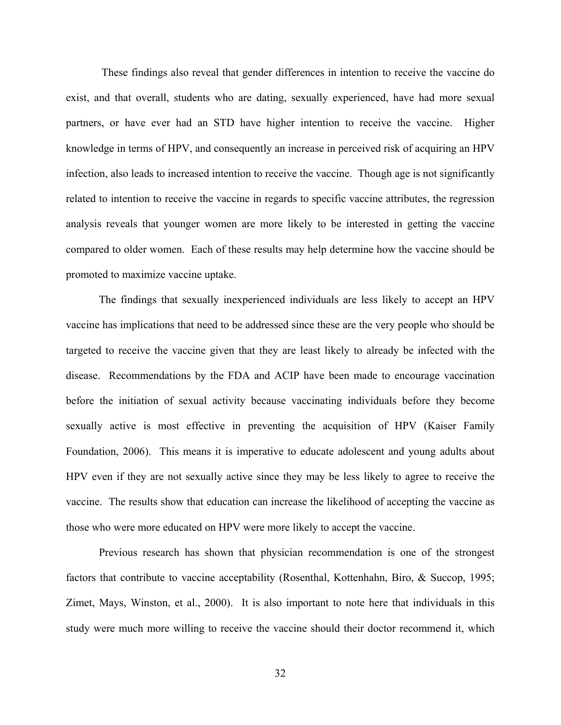These findings also reveal that gender differences in intention to receive the vaccine do exist, and that overall, students who are dating, sexually experienced, have had more sexual partners, or have ever had an STD have higher intention to receive the vaccine. Higher knowledge in terms of HPV, and consequently an increase in perceived risk of acquiring an HPV infection, also leads to increased intention to receive the vaccine. Though age is not significantly related to intention to receive the vaccine in regards to specific vaccine attributes, the regression analysis reveals that younger women are more likely to be interested in getting the vaccine compared to older women. Each of these results may help determine how the vaccine should be promoted to maximize vaccine uptake.

The findings that sexually inexperienced individuals are less likely to accept an HPV vaccine has implications that need to be addressed since these are the very people who should be targeted to receive the vaccine given that they are least likely to already be infected with the disease. Recommendations by the FDA and ACIP have been made to encourage vaccination before the initiation of sexual activity because vaccinating individuals before they become sexually active is most effective in preventing the acquisition of HPV (Kaiser Family Foundation, 2006). This means it is imperative to educate adolescent and young adults about HPV even if they are not sexually active since they may be less likely to agree to receive the vaccine. The results show that education can increase the likelihood of accepting the vaccine as those who were more educated on HPV were more likely to accept the vaccine.

Previous research has shown that physician recommendation is one of the strongest factors that contribute to vaccine acceptability (Rosenthal, Kottenhahn, Biro, & Succop, 1995; Zimet, Mays, Winston, et al., 2000). It is also important to note here that individuals in this study were much more willing to receive the vaccine should their doctor recommend it, which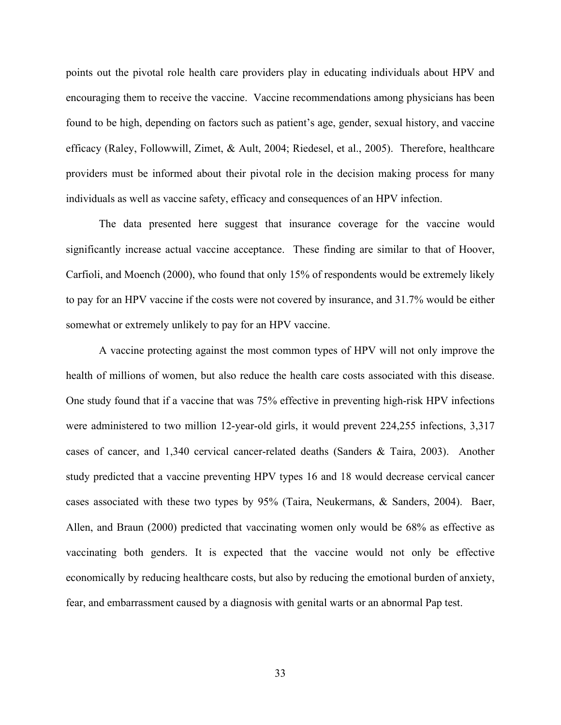points out the pivotal role health care providers play in educating individuals about HPV and encouraging them to receive the vaccine. Vaccine recommendations among physicians has been found to be high, depending on factors such as patient's age, gender, sexual history, and vaccine efficacy (Raley, Followwill, Zimet, & Ault, 2004; Riedesel, et al., 2005). Therefore, healthcare providers must be informed about their pivotal role in the decision making process for many individuals as well as vaccine safety, efficacy and consequences of an HPV infection.

The data presented here suggest that insurance coverage for the vaccine would significantly increase actual vaccine acceptance. These finding are similar to that of Hoover, Carfioli, and Moench (2000), who found that only 15% of respondents would be extremely likely to pay for an HPV vaccine if the costs were not covered by insurance, and 31.7% would be either somewhat or extremely unlikely to pay for an HPV vaccine.

A vaccine protecting against the most common types of HPV will not only improve the health of millions of women, but also reduce the health care costs associated with this disease. One study found that if a vaccine that was 75% effective in preventing high-risk HPV infections were administered to two million 12-year-old girls, it would prevent 224,255 infections, 3,317 cases of cancer, and 1,340 cervical cancer-related deaths (Sanders & Taira, 2003). Another study predicted that a vaccine preventing HPV types 16 and 18 would decrease cervical cancer cases associated with these two types by 95% (Taira, Neukermans, & Sanders, 2004). Baer, Allen, and Braun (2000) predicted that vaccinating women only would be 68% as effective as vaccinating both genders. It is expected that the vaccine would not only be effective economically by reducing healthcare costs, but also by reducing the emotional burden of anxiety, fear, and embarrassment caused by a diagnosis with genital warts or an abnormal Pap test.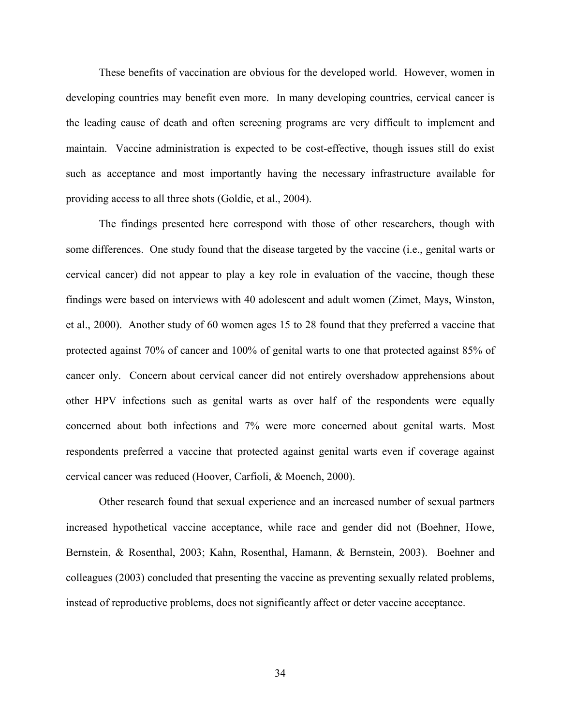These benefits of vaccination are obvious for the developed world. However, women in developing countries may benefit even more. In many developing countries, cervical cancer is the leading cause of death and often screening programs are very difficult to implement and maintain. Vaccine administration is expected to be cost-effective, though issues still do exist such as acceptance and most importantly having the necessary infrastructure available for providing access to all three shots (Goldie, et al., 2004).

The findings presented here correspond with those of other researchers, though with some differences. One study found that the disease targeted by the vaccine (i.e., genital warts or cervical cancer) did not appear to play a key role in evaluation of the vaccine, though these findings were based on interviews with 40 adolescent and adult women (Zimet, Mays, Winston, et al., 2000). Another study of 60 women ages 15 to 28 found that they preferred a vaccine that protected against 70% of cancer and 100% of genital warts to one that protected against 85% of cancer only. Concern about cervical cancer did not entirely overshadow apprehensions about other HPV infections such as genital warts as over half of the respondents were equally concerned about both infections and 7% were more concerned about genital warts. Most respondents preferred a vaccine that protected against genital warts even if coverage against cervical cancer was reduced (Hoover, Carfioli, & Moench, 2000).

Other research found that sexual experience and an increased number of sexual partners increased hypothetical vaccine acceptance, while race and gender did not (Boehner, Howe, Bernstein, & Rosenthal, 2003; Kahn, Rosenthal, Hamann, & Bernstein, 2003). Boehner and colleagues (2003) concluded that presenting the vaccine as preventing sexually related problems, instead of reproductive problems, does not significantly affect or deter vaccine acceptance.

34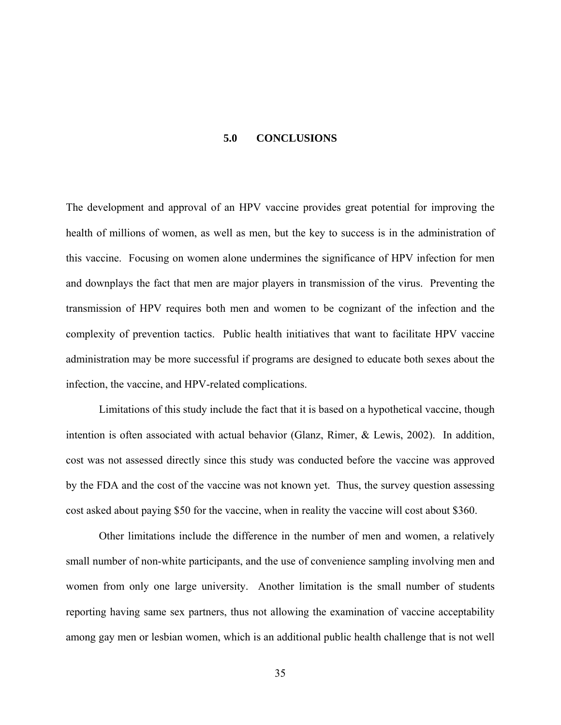#### **5.0 CONCLUSIONS**

<span id="page-44-0"></span>The development and approval of an HPV vaccine provides great potential for improving the health of millions of women, as well as men, but the key to success is in the administration of this vaccine. Focusing on women alone undermines the significance of HPV infection for men and downplays the fact that men are major players in transmission of the virus. Preventing the transmission of HPV requires both men and women to be cognizant of the infection and the complexity of prevention tactics. Public health initiatives that want to facilitate HPV vaccine administration may be more successful if programs are designed to educate both sexes about the infection, the vaccine, and HPV-related complications.

Limitations of this study include the fact that it is based on a hypothetical vaccine, though intention is often associated with actual behavior (Glanz, Rimer, & Lewis, 2002). In addition, cost was not assessed directly since this study was conducted before the vaccine was approved by the FDA and the cost of the vaccine was not known yet. Thus, the survey question assessing cost asked about paying \$50 for the vaccine, when in reality the vaccine will cost about \$360.

Other limitations include the difference in the number of men and women, a relatively small number of non-white participants, and the use of convenience sampling involving men and women from only one large university. Another limitation is the small number of students reporting having same sex partners, thus not allowing the examination of vaccine acceptability among gay men or lesbian women, which is an additional public health challenge that is not well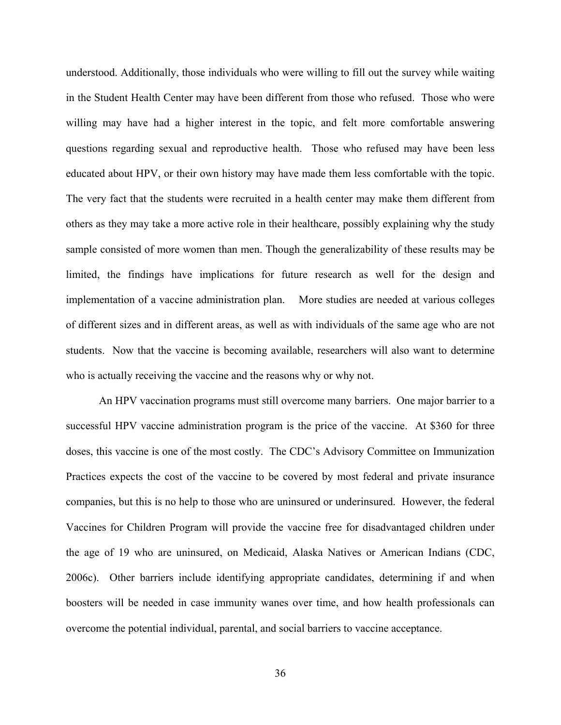understood. Additionally, those individuals who were willing to fill out the survey while waiting in the Student Health Center may have been different from those who refused. Those who were willing may have had a higher interest in the topic, and felt more comfortable answering questions regarding sexual and reproductive health. Those who refused may have been less educated about HPV, or their own history may have made them less comfortable with the topic. The very fact that the students were recruited in a health center may make them different from others as they may take a more active role in their healthcare, possibly explaining why the study sample consisted of more women than men. Though the generalizability of these results may be limited, the findings have implications for future research as well for the design and implementation of a vaccine administration plan. More studies are needed at various colleges of different sizes and in different areas, as well as with individuals of the same age who are not students. Now that the vaccine is becoming available, researchers will also want to determine who is actually receiving the vaccine and the reasons why or why not.

An HPV vaccination programs must still overcome many barriers. One major barrier to a successful HPV vaccine administration program is the price of the vaccine. At \$360 for three doses, this vaccine is one of the most costly. The CDC's Advisory Committee on Immunization Practices expects the cost of the vaccine to be covered by most federal and private insurance companies, but this is no help to those who are uninsured or underinsured. However, the federal Vaccines for Children Program will provide the vaccine free for disadvantaged children under the age of 19 who are uninsured, on Medicaid, Alaska Natives or American Indians (CDC, 2006c). Other barriers include identifying appropriate candidates, determining if and when boosters will be needed in case immunity wanes over time, and how health professionals can overcome the potential individual, parental, and social barriers to vaccine acceptance.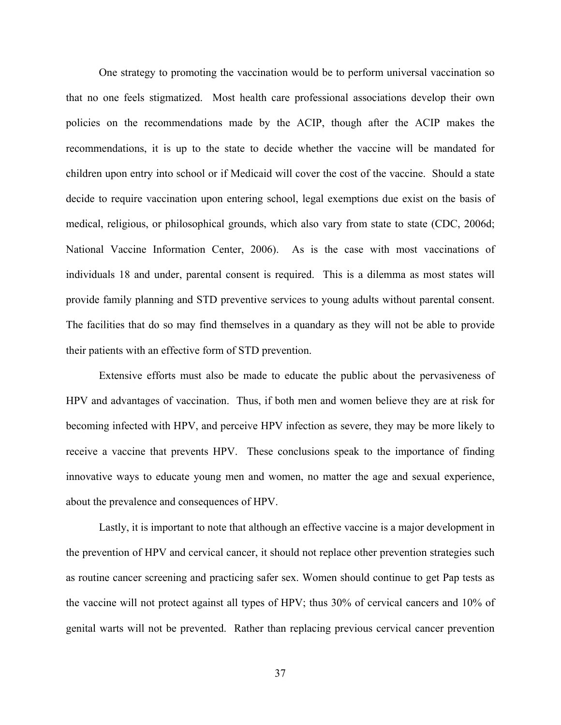One strategy to promoting the vaccination would be to perform universal vaccination so that no one feels stigmatized. Most health care professional associations develop their own policies on the recommendations made by the ACIP, though after the ACIP makes the recommendations, it is up to the state to decide whether the vaccine will be mandated for children upon entry into school or if Medicaid will cover the cost of the vaccine. Should a state decide to require vaccination upon entering school, legal exemptions due exist on the basis of medical, religious, or philosophical grounds, which also vary from state to state (CDC, 2006d; National Vaccine Information Center, 2006). As is the case with most vaccinations of individuals 18 and under, parental consent is required. This is a dilemma as most states will provide family planning and STD preventive services to young adults without parental consent. The facilities that do so may find themselves in a quandary as they will not be able to provide their patients with an effective form of STD prevention.

Extensive efforts must also be made to educate the public about the pervasiveness of HPV and advantages of vaccination. Thus, if both men and women believe they are at risk for becoming infected with HPV, and perceive HPV infection as severe, they may be more likely to receive a vaccine that prevents HPV. These conclusions speak to the importance of finding innovative ways to educate young men and women, no matter the age and sexual experience, about the prevalence and consequences of HPV.

Lastly, it is important to note that although an effective vaccine is a major development in the prevention of HPV and cervical cancer, it should not replace other prevention strategies such as routine cancer screening and practicing safer sex. Women should continue to get Pap tests as the vaccine will not protect against all types of HPV; thus 30% of cervical cancers and 10% of genital warts will not be prevented. Rather than replacing previous cervical cancer prevention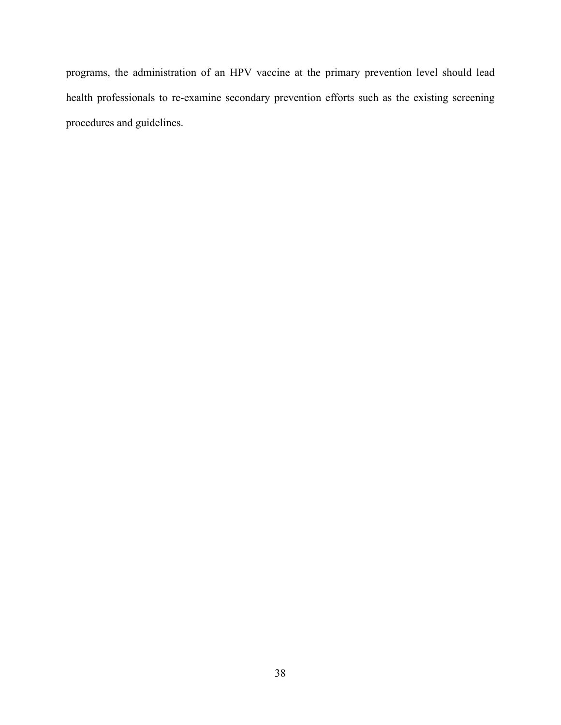programs, the administration of an HPV vaccine at the primary prevention level should lead health professionals to re-examine secondary prevention efforts such as the existing screening procedures and guidelines.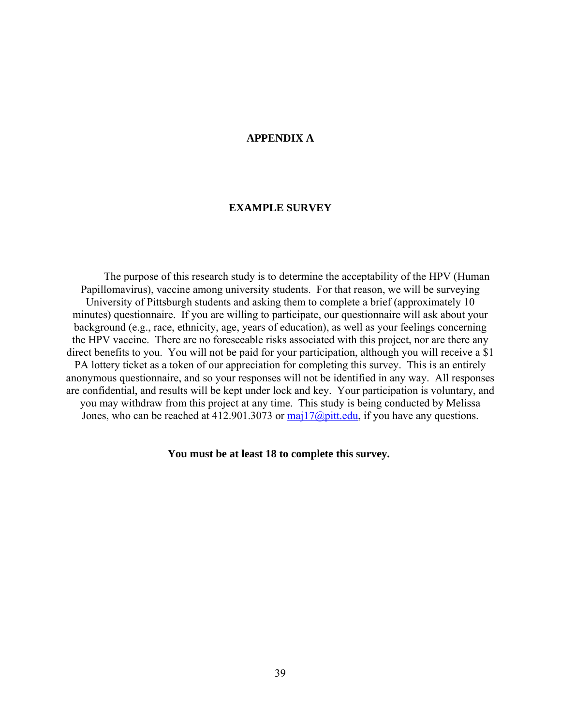#### **APPENDIX A**

#### **EXAMPLE SURVEY**

<span id="page-48-0"></span>The purpose of this research study is to determine the acceptability of the HPV (Human Papillomavirus), vaccine among university students. For that reason, we will be surveying University of Pittsburgh students and asking them to complete a brief (approximately 10 minutes) questionnaire. If you are willing to participate, our questionnaire will ask about your background (e.g., race, ethnicity, age, years of education), as well as your feelings concerning the HPV vaccine. There are no foreseeable risks associated with this project, nor are there any direct benefits to you. You will not be paid for your participation, although you will receive a \$1 PA lottery ticket as a token of our appreciation for completing this survey. This is an entirely anonymous questionnaire, and so your responses will not be identified in any way. All responses are confidential, and results will be kept under lock and key. Your participation is voluntary, and you may withdraw from this project at any time. This study is being conducted by Melissa Jones, who can be reached at 412.901.3073 or  $\text{maj17}(a)$  pitt.edu, if you have any questions.

 **You must be at least 18 to complete this survey.**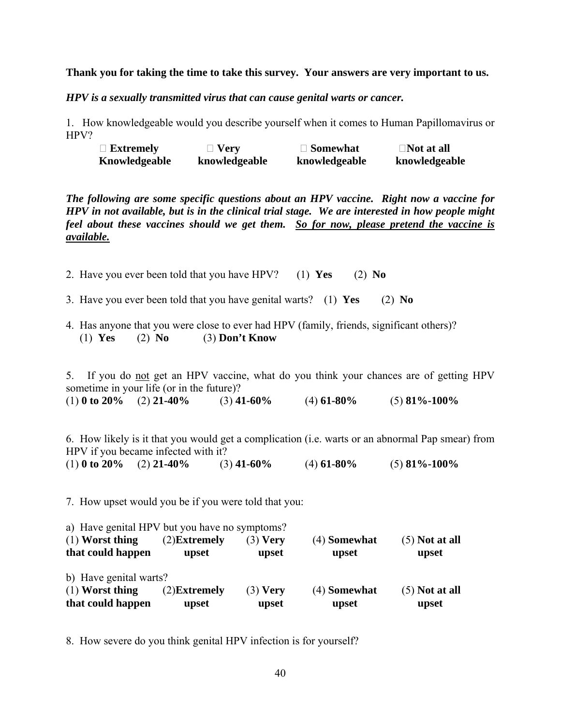#### **Thank you for taking the time to take this survey. Your answers are very important to us.**

*HPV is a sexually transmitted virus that can cause genital warts or cancer.* 

1. How knowledgeable would you describe yourself when it comes to Human Papillomavirus or HPV?

| $\Box$ Extremely | $\Box$ Very   | $\Box$ Somewhat | $\Box$ Not at all |
|------------------|---------------|-----------------|-------------------|
| Knowledgeable    | knowledgeable | knowledgeable   | knowledgeable     |

*The following are some specific questions about an HPV vaccine. Right now a vaccine for HPV in not available, but is in the clinical trial stage. We are interested in how people might feel about these vaccines should we get them. So for now, please pretend the vaccine is available.*

2. Have you ever been told that you have HPV? (1) **Yes** (2) **No** 

3. Have you ever been told that you have genital warts? (1) **Yes** (2) **No** 

4. Has anyone that you were close to ever had HPV (family, friends, significant others)? (1) **Yes** (2) **No** (3) **Don't Know**

5. If you do not get an HPV vaccine, what do you think your chances are of getting HPV sometime in your life (or in the future)? (1) **0 to 20%** (2) **21-40%** (3) **41-60%** (4) **61-80%** (5) **81%-100%**

6. How likely is it that you would get a complication (i.e. warts or an abnormal Pap smear) from HPV if you became infected with it? (1) **0 to 20%** (2) **21-40%** (3) **41-60%** (4) **61-80%** (5) **81%-100%**

7. How upset would you be if you were told that you:

| that could happen                             | upset           | upset      | upset               | upset            |  |  |  |  |
|-----------------------------------------------|-----------------|------------|---------------------|------------------|--|--|--|--|
| $(1)$ Worst thing                             | $(2)$ Extremely | $(3)$ Very | (4) <b>Somewhat</b> | $(5)$ Not at all |  |  |  |  |
| b) Have genital warts?                        |                 |            |                     |                  |  |  |  |  |
| that could happen                             | upset           | upset      | upset               | upset            |  |  |  |  |
| $(1)$ Worst thing                             | $(2)$ Extremely | $(3)$ Very | (4) <b>Somewhat</b> | $(5)$ Not at all |  |  |  |  |
| a) Have genital HPV but you have no symptoms? |                 |            |                     |                  |  |  |  |  |

8. How severe do you think genital HPV infection is for yourself?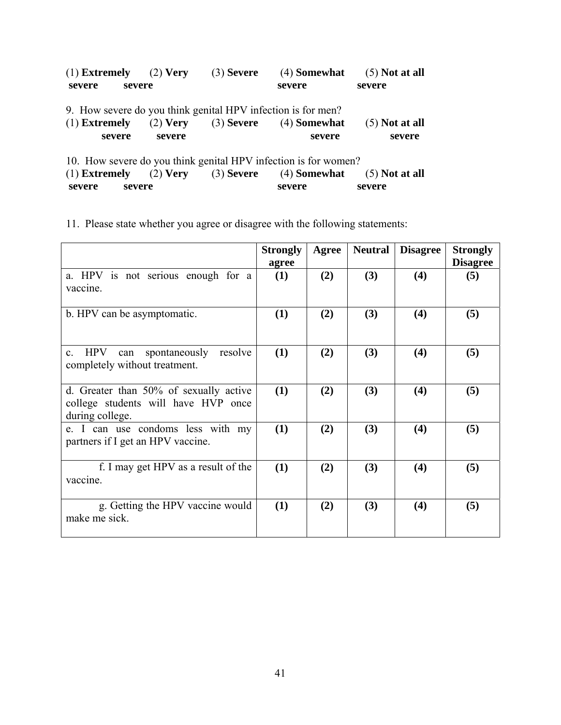|                                                                 | $(1)$ Extremely $(2)$ Very                                   | $(3)$ Severe | (4) Somewhat   | $(5)$ Not at all |  |  |  |
|-----------------------------------------------------------------|--------------------------------------------------------------|--------------|----------------|------------------|--|--|--|
| severe                                                          | severe                                                       |              | severe         | severe           |  |  |  |
|                                                                 | 9. How severe do you think genital HPV infection is for men? |              |                |                  |  |  |  |
| $(1)$ Extremely                                                 | $(2)$ Very                                                   | $(3)$ Severe | $(4)$ Somewhat | $(5)$ Not at all |  |  |  |
| severe                                                          | severe                                                       |              | severe         | severe           |  |  |  |
| 10. How severe do you think genital HPV infection is for women? |                                                              |              |                |                  |  |  |  |
| $(1)$ Extremely                                                 | $(2)$ Very $(3)$ Severe                                      |              | $(4)$ Somewhat | $(5)$ Not at all |  |  |  |
| severe                                                          | severe                                                       |              | severe         | severe           |  |  |  |

11. Please state whether you agree or disagree with the following statements:

|                                                                                                  | <b>Strongly</b><br>agree | Agree | <b>Neutral</b> | <b>Disagree</b> | <b>Strongly</b><br><b>Disagree</b> |
|--------------------------------------------------------------------------------------------------|--------------------------|-------|----------------|-----------------|------------------------------------|
| a. HPV is not serious enough for a<br>vaccine.                                                   | (1)                      | (2)   | (3)            | (4)             | (5)                                |
| b. HPV can be asymptomatic.                                                                      | (1)                      | (2)   | (3)            | (4)             | (5)                                |
| <b>HPV</b><br>spontaneously<br>resolve<br>$c_{-}$<br>can<br>completely without treatment.        | (1)                      | (2)   | (3)            | (4)             | (5)                                |
| d. Greater than 50% of sexually active<br>college students will have HVP once<br>during college. | (1)                      | (2)   | (3)            | (4)             | (5)                                |
| e. I can use condoms less with my<br>partners if I get an HPV vaccine.                           | (1)                      | (2)   | (3)            | (4)             | (5)                                |
| f. I may get HPV as a result of the<br>vaccine.                                                  | (1)                      | (2)   | (3)            | (4)             | (5)                                |
| g. Getting the HPV vaccine would<br>make me sick.                                                | (1)                      | (2)   | (3)            | (4)             | (5)                                |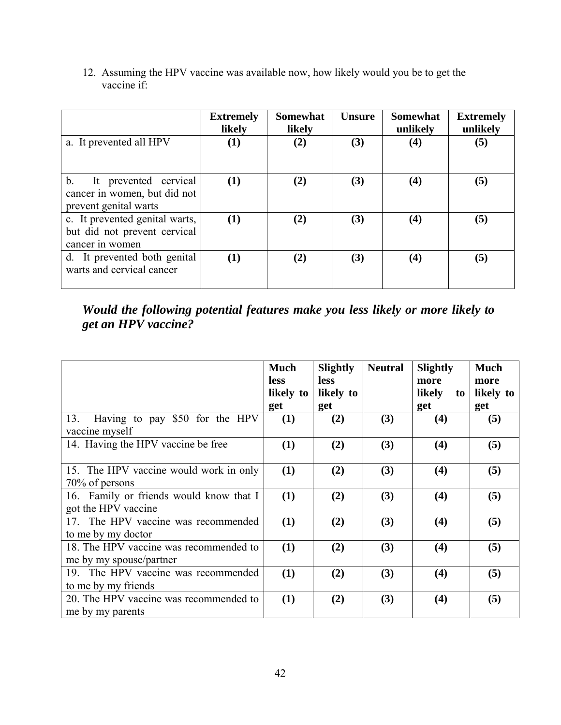|                                                                                           | <b>Extremely</b><br>likely | <b>Somewhat</b><br>likely | <b>Unsure</b> | <b>Somewhat</b><br>unlikely | <b>Extremely</b><br>unlikely |
|-------------------------------------------------------------------------------------------|----------------------------|---------------------------|---------------|-----------------------------|------------------------------|
| a. It prevented all HPV                                                                   | $\bf(1)$                   | (2)                       | (3)           | $\left( 4\right)$           | (5)                          |
| $b_{-}$<br>It prevented cervical<br>cancer in women, but did not<br>prevent genital warts | (1)                        | (2)                       | (3)           | $\left( 4\right)$           | (5)                          |
| c. It prevented genital warts,<br>but did not prevent cervical<br>cancer in women         | (1)                        | (2)                       | (3)           | $\left( 4\right)$           | (5)                          |
| d. It prevented both genital<br>warts and cervical cancer                                 | (1)                        | (2)                       | (3)           | $\left( 4\right)$           | (5)                          |

12. Assuming the HPV vaccine was available now, how likely would you be to get the vaccine if:

*Would the following potential features make you less likely or more likely to get an HPV vaccine?* 

|                                         | <b>Much</b><br><b>less</b> | <b>Slightly</b><br>less | <b>Neutral</b> | <b>Slightly</b><br>more | <b>Much</b><br>more |
|-----------------------------------------|----------------------------|-------------------------|----------------|-------------------------|---------------------|
|                                         | likely to                  | likely to               |                | likely<br>to            | likely to           |
|                                         | get                        | get                     |                | get                     | get                 |
| Having to pay \$50 for the HPV<br>13.   | (1)                        | (2)                     | (3)            | (4)                     | (5)                 |
| vaccine myself                          |                            |                         |                |                         |                     |
| 14. Having the HPV vaccine be free      | (1)                        | (2)                     | (3)            | (4)                     | (5)                 |
| 15. The HPV vaccine would work in only  | (1)                        | (2)                     | (3)            | (4)                     | (5)                 |
| 70% of persons                          |                            |                         |                |                         |                     |
| 16. Family or friends would know that I | (1)                        | (2)                     | (3)            | (4)                     | (5)                 |
| got the HPV vaccine                     |                            |                         |                |                         |                     |
| 17. The HPV vaccine was recommended     | (1)                        | (2)                     | (3)            | (4)                     | (5)                 |
| to me by my doctor                      |                            |                         |                |                         |                     |
| 18. The HPV vaccine was recommended to  | (1)                        | (2)                     | (3)            | (4)                     | (5)                 |
| me by my spouse/partner                 |                            |                         |                |                         |                     |
| 19. The HPV vaccine was recommended     | (1)                        | (2)                     | (3)            | (4)                     | (5)                 |
| to me by my friends                     |                            |                         |                |                         |                     |
| 20. The HPV vaccine was recommended to  | (1)                        | (2)                     | (3)            | (4)                     | (5)                 |
| me by my parents                        |                            |                         |                |                         |                     |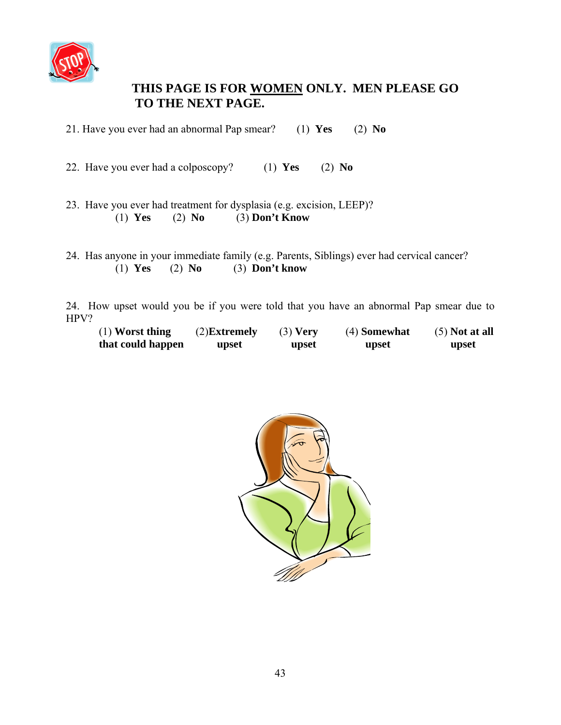

### **THIS PAGE IS FOR WOMEN ONLY. MEN PLEASE GO TO THE NEXT PAGE.**

21. Have you ever had an abnormal Pap smear? (1) **Yes** (2) **No**

22. Have you ever had a colposcopy? (1) **Yes** (2) **No**

- 23. Have you ever had treatment for dysplasia (e.g. excision, LEEP)? (1) **Yes** (2) **No** (3) **Don't Know**
- 24. Has anyone in your immediate family (e.g. Parents, Siblings) ever had cervical cancer? (1) **Yes** (2) **No** (3) **Don't know**

24. How upset would you be if you were told that you have an abnormal Pap smear due to HPV?

| $(1)$ Worst thing | $(2)$ <b>Extremely</b> | $(3)$ Very | (4) Somewhat | $(5)$ Not at all |
|-------------------|------------------------|------------|--------------|------------------|
| that could happen | upset                  | upset      | upset        | upset            |

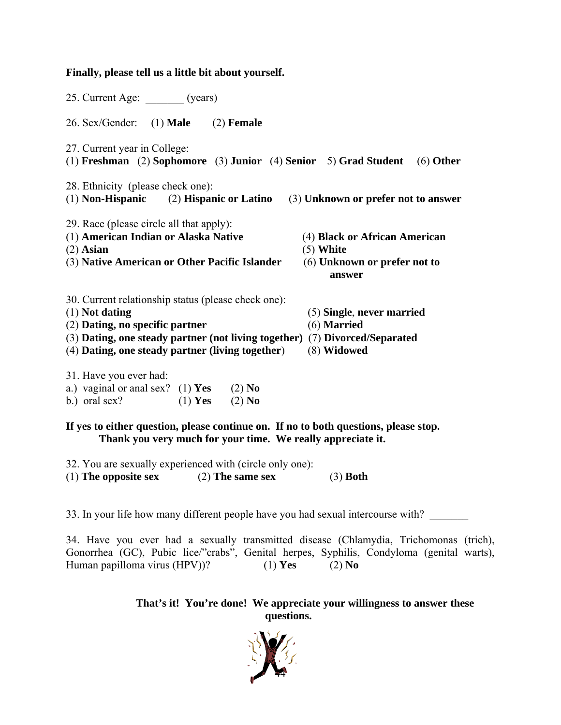### **Finally, please tell us a little bit about yourself.**

| 25. Current Age: _______ (years)                                                                                                                                                                                                                                                                         |
|----------------------------------------------------------------------------------------------------------------------------------------------------------------------------------------------------------------------------------------------------------------------------------------------------------|
| 26. Sex/Gender:<br>$(1)$ Male $(2)$ Female                                                                                                                                                                                                                                                               |
| 27. Current year in College:<br>(1) Freshman (2) Sophomore (3) Junior (4) Senior 5) Grad Student<br>$(6)$ Other                                                                                                                                                                                          |
| 28. Ethnicity (please check one):<br>$(1)$ Non-Hispanic $(2)$ Hispanic or Latino<br>(3) Unknown or prefer not to answer                                                                                                                                                                                  |
| 29. Race (please circle all that apply):<br>(1) American Indian or Alaska Native<br>(4) Black or African American<br>$(2)$ Asian<br>$(5)$ White<br>(3) Native American or Other Pacific Islander<br>(6) Unknown or prefer not to<br>answer                                                               |
| 30. Current relationship status (please check one):<br>$(1)$ Not dating<br>(5) Single, never married<br>(6) Married<br>(2) Dating, no specific partner<br>(3) Dating, one steady partner (not living together) (7) Divorced/Separated<br>(4) Dating, one steady partner (living together)<br>(8) Widowed |
| 31. Have you ever had:<br>a.) vaginal or anal sex? (1) Yes (2) No<br>b.) oral sex? (1) Yes (2) No                                                                                                                                                                                                        |
| If yes to either question, please continue on. If no to both questions, please stop.<br>Thank you very much for your time. We really appreciate it.                                                                                                                                                      |
| 32. You are sexually experienced with (circle only one):<br>(1) The opposite sex $(2)$ The same sex<br>$(3)$ Both                                                                                                                                                                                        |

33. In your life how many different people have you had sexual intercourse with?

34. Have you ever had a sexually transmitted disease (Chlamydia, Trichomonas (trich), Gonorrhea (GC), Pubic lice/"crabs", Genital herpes, Syphilis, Condyloma (genital warts), Human papilloma virus (HPV))? (1) **Yes** (2) **No**

> **That's it! You're done! We appreciate your willingness to answer these questions.**

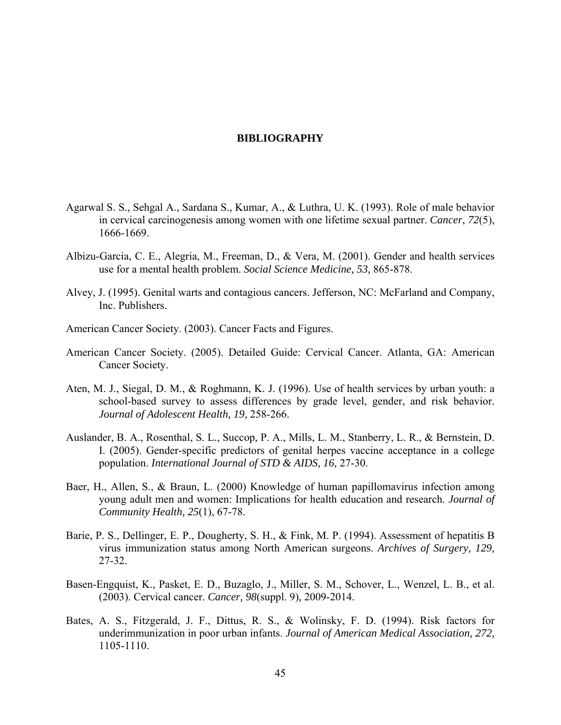#### **BIBLIOGRAPHY**

- <span id="page-54-0"></span>Agarwal S. S., Sehgal A., Sardana S., Kumar, A., & Luthra, U. K. (1993). Role of male behavior in cervical carcinogenesis among women with one lifetime sexual partner. *Cancer*, *72*(5), 1666-1669.
- Albizu-Garcia, C. E., Alegria, M., Freeman, D., & Vera, M. (2001). Gender and health services use for a mental health problem. *Social Science Medicine, 53,* 865-878.
- Alvey, J. (1995). Genital warts and contagious cancers. Jefferson, NC: McFarland and Company, Inc. Publishers.
- American Cancer Society. (2003). Cancer Facts and Figures.
- American Cancer Society. (2005). Detailed Guide: Cervical Cancer. Atlanta, GA: American Cancer Society.
- Aten, M. J., Siegal, D. M., & Roghmann, K. J. (1996). Use of health services by urban youth: a school-based survey to assess differences by grade level, gender, and risk behavior. *Journal of Adolescent Health, 19,* 258-266.
- Auslander, B. A., Rosenthal, S. L., Succop, P. A., Mills, L. M., Stanberry, L. R., & Bernstein, D. I. (2005). Gender-specific predictors of genital herpes vaccine acceptance in a college population. *International Journal of STD & AIDS, 16,* 27-30.
- Baer, H., Allen, S., & Braun, L. (2000) Knowledge of human papillomavirus infection among young adult men and women: Implications for health education and research. *Journal of Community Health, 25*(1), 67-78.
- Barie, P. S., Dellinger, E. P., Dougherty, S. H., & Fink, M. P. (1994). Assessment of hepatitis B virus immunization status among North American surgeons. *Archives of Surgery, 129,*  27-32.
- Basen-Engquist, K., Pasket, E. D., Buzaglo, J., Miller, S. M., Schover, L., Wenzel, L. B., et al. (2003). Cervical cancer. *Cancer, 98*(suppl. 9)*,* 2009-2014.
- Bates, A. S., Fitzgerald, J. F., Dittus, R. S., & Wolinsky, F. D. (1994). Risk factors for underimmunization in poor urban infants. *Journal of American Medical Association, 272,*  1105-1110.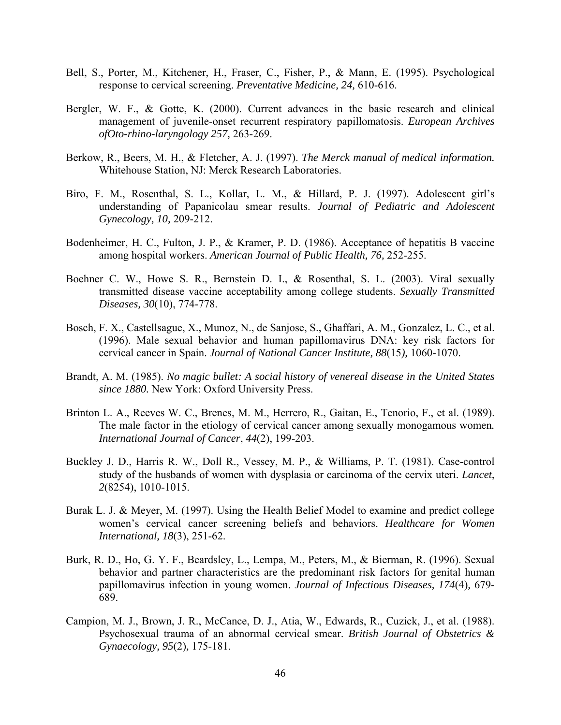- Bell, S., Porter, M., Kitchener, H., Fraser, C., Fisher, P., & Mann, E. (1995). Psychological response to cervical screening. *Preventative Medicine, 24,* 610-616.
- Bergler, W. F., & Gotte, K. (2000). Current advances in the basic research and clinical management of juvenile-onset recurrent respiratory papillomatosis. *European Archives ofOto-rhino-laryngology 257,* 263-269.
- Berkow, R., Beers, M. H., & Fletcher, A. J. (1997). *The Merck manual of medical information.*  Whitehouse Station, NJ: Merck Research Laboratories.
- Biro, F. M., Rosenthal, S. L., Kollar, L. M., & Hillard, P. J. (1997). Adolescent girl's understanding of Papanicolau smear results. *Journal of Pediatric and Adolescent Gynecology, 10,* 209-212.
- Bodenheimer, H. C., Fulton, J. P., & Kramer, P. D. (1986). Acceptance of hepatitis B vaccine among hospital workers. *American Journal of Public Health, 76,* 252-255.
- Boehner C. W., Howe S. R., Bernstein D. I., & Rosenthal, S. L. (2003). Viral sexually transmitted disease vaccine acceptability among college students. *Sexually Transmitted Diseases, 30*(10), 774-778.
- Bosch, F. X., Castellsague, X., Munoz, N., de Sanjose, S., Ghaffari, A. M., Gonzalez, L. C., et al. (1996). Male sexual behavior and human papillomavirus DNA: key risk factors for cervical cancer in Spain. *Journal of National Cancer Institute, 88*(15*),* 1060-1070.
- Brandt, A. M. (1985). *No magic bullet: A social history of venereal disease in the United States since 1880.* New York: Oxford University Press.
- Brinton L. A., Reeves W. C., Brenes, M. M., Herrero, R., Gaitan, E., Tenorio, F., et al. (1989). The male factor in the etiology of cervical cancer among sexually monogamous women*. International Journal of Cancer*, *44*(2), 199-203.
- Buckley J. D., Harris R. W., Doll R., Vessey, M. P., & Williams, P. T. (1981). Case-control study of the husbands of women with dysplasia or carcinoma of the cervix uteri. *Lancet*, *2*(8254), 1010-1015.
- Burak L. J. & Meyer, M. (1997). Using the Health Belief Model to examine and predict college women's cervical cancer screening beliefs and behaviors. *Healthcare for Women International, 18*(3), 251-62.
- Burk, R. D., Ho, G. Y. F., Beardsley, L., Lempa, M., Peters, M., & Bierman, R. (1996). Sexual behavior and partner characteristics are the predominant risk factors for genital human papillomavirus infection in young women. *Journal of Infectious Diseases, 174*(4)*,* 679- 689.
- Campion, M. J., Brown, J. R., McCance, D. J., Atia, W., Edwards, R., Cuzick, J., et al. (1988). Psychosexual trauma of an abnormal cervical smear. *British Journal of Obstetrics & Gynaecology, 95*(2)*,* 175-181.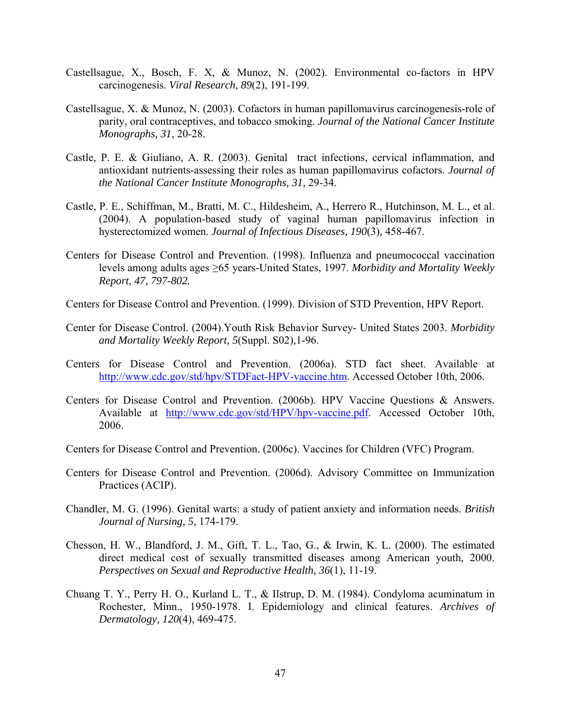- Castellsague, X., Bosch, F. X, & Munoz, N. (2002). Environmental co-factors in HPV carcinogenesis. *Viral Research, 89*(2), 191-199.
- Castellsague, X. & Munoz, N. (2003). Cofactors in human papillomavirus carcinogenesis-role of parity, oral contraceptives, and tobacco smoking. *Journal of the National Cancer Institute Monographs, 31*, 20-28.
- Castle, P. E. & Giuliano, A. R. (2003). Genital tract infections, cervical inflammation, and antioxidant nutrients-assessing their roles as human papillomavirus cofactors. *Journal of the National Cancer Institute Monographs, 31,* 29-34.
- Castle, P. E., Schiffman, M., Bratti, M. C., Hildesheim, A., Herrero R., Hutchinson, M. L., et al. (2004). A population-based study of vaginal human papillomavirus infection in hysterectomized women. *Journal of Infectious Diseases, 190*(3)*,* 458-467.
- Centers for Disease Control and Prevention. (1998). Influenza and pneumococcal vaccination levels among adults ages ≥65 years-United States, 1997. *Morbidity and Mortality Weekly Report, 47, 797-802.*
- Centers for Disease Control and Prevention. (1999). Division of STD Prevention, HPV Report.
- Center for Disease Control. (2004).Youth Risk Behavior Survey- United States 2003. *Morbidity and Mortality Weekly Report, 5*(Suppl. S02)*,*1-96.
- Centers for Disease Control and Prevention. (2006a). STD fact sheet. Available at [http://www.cdc.gov/std/hpv/STDFact-HPV-vaccine.htm.](http://www.cdc.gov/std/hpv/STDFact-HPV-vaccine.htm) Accessed October 10th, 2006.
- Centers for Disease Control and Prevention. (2006b). HPV Vaccine Questions & Answers. Available at <http://www.cdc.gov/std/HPV/hpv-vaccine.pdf>. Accessed October 10th, 2006.
- Centers for Disease Control and Prevention. (2006c). Vaccines for Children (VFC) Program.
- Centers for Disease Control and Prevention. (2006d). Advisory Committee on Immunization Practices (ACIP).
- Chandler, M. G. (1996). Genital warts: a study of patient anxiety and information needs. *British Journal of Nursing, 5,* 174-179.
- Chesson, H. W., Blandford, J. M., Gift, T. L., Tao, G., & Irwin, K. L. (2000). The estimated direct medical cost of sexually transmitted diseases among American youth, 2000. *Perspectives on Sexual and Reproductive Health, 36*(1), 11-19.
- Chuang T. Y., Perry H. O., Kurland L. T., & Ilstrup, D. M. (1984). Condyloma acuminatum in Rochester, Minn., 1950-1978. I. Epidemiology and clinical features. *Archives of Dermatology, 120*(4), 469-475.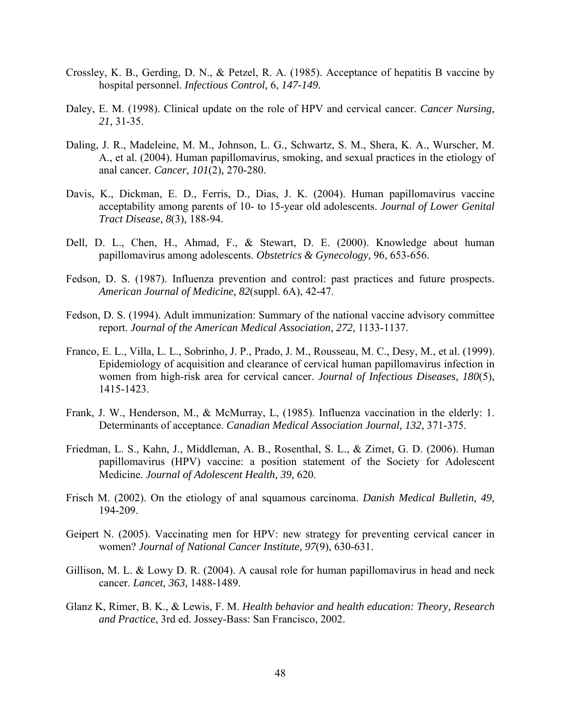- Crossley, K. B., Gerding, D. N., & Petzel, R. A. (1985). Acceptance of hepatitis B vaccine by hospital personnel. *Infectious Control,* 6, *147-149.*
- Daley, E. M. (1998). Clinical update on the role of HPV and cervical cancer. *Cancer Nursing, 21,* 31-35.
- Daling, J. R., Madeleine, M. M., Johnson, L. G., Schwartz, S. M., Shera, K. A., Wurscher, M. A., et al. (2004). Human papillomavirus, smoking, and sexual practices in the etiology of anal cancer. *Cancer, 101*(2)*,* 270-280.
- Davis, K., Dickman, E. D., Ferris, D., Dias, J. K. (2004). Human papillomavirus vaccine acceptability among parents of 10- to 15-year old adolescents. *Journal of Lower Genital Tract Disease, 8*(3)*,* 188-94.
- Dell, D. L., Chen, H., Ahmad, F., & Stewart, D. E. (2000). Knowledge about human papillomavirus among adolescents. *Obstetrics & Gynecology,* 96, 653-656.
- Fedson, D. S. (1987). Influenza prevention and control: past practices and future prospects. *American Journal of Medicine, 82*(suppl. 6A), 42-47.
- Fedson, D. S. (1994). Adult immunization: Summary of the national vaccine advisory committee report. *Journal of the American Medical Association, 272,* 1133-1137.
- Franco, E. L., Villa, L. L., Sobrinho, J. P., Prado, J. M., Rousseau, M. C., Desy, M., et al. (1999). Epidemiology of acquisition and clearance of cervical human papillomavirus infection in women from high-risk area for cervical cancer. *Journal of Infectious Diseases, 180*(5), 1415-1423.
- Frank, J. W., Henderson, M., & McMurray, L, (1985). Influenza vaccination in the elderly: 1. Determinants of acceptance. *Canadian Medical Association Journal, 132,* 371-375.
- Friedman, L. S., Kahn, J., Middleman, A. B., Rosenthal, S. L., & Zimet, G. D. (2006). Human papillomavirus (HPV) vaccine: a position statement of the Society for Adolescent Medicine. *Journal of Adolescent Health, 39,* 620.
- Frisch M. (2002). On the etiology of anal squamous carcinoma. *Danish Medical Bulletin, 49,*  194-209.
- Geipert N. (2005). Vaccinating men for HPV: new strategy for preventing cervical cancer in women? *Journal of National Cancer Institute, 97*(9), 630-631.
- Gillison, M. L. & Lowy D. R. (2004). A causal role for human papillomavirus in head and neck cancer. *Lancet, 363,* 1488-1489.
- Glanz K, Rimer, B. K., & Lewis, F. M. *Health behavior and health education: Theory, Research and Practice*, 3rd ed. Jossey-Bass: San Francisco, 2002.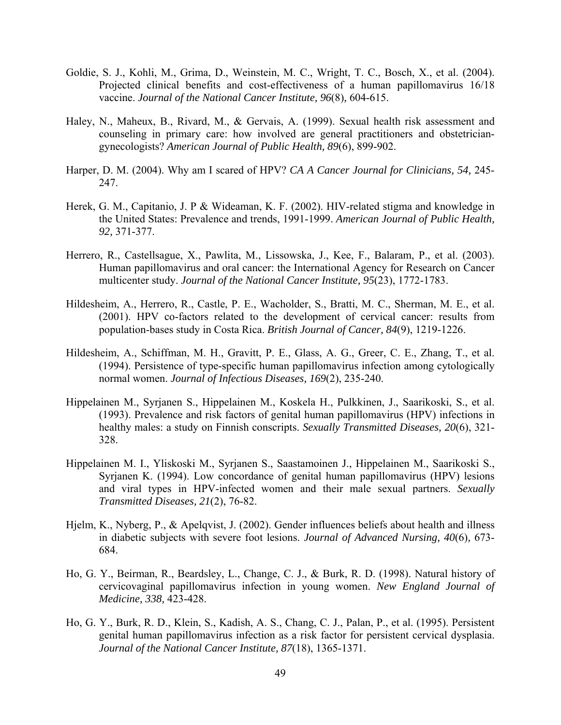- Goldie, S. J., Kohli, M., Grima, D., Weinstein, M. C., Wright, T. C., Bosch, X., et al. (2004). Projected clinical benefits and cost-effectiveness of a human papillomavirus 16/18 vaccine. *Journal of the National Cancer Institute, 96*(8)*,* 604-615.
- Haley, N., Maheux, B., Rivard, M., & Gervais, A. (1999). Sexual health risk assessment and counseling in primary care: how involved are general practitioners and obstetriciangynecologists? *American Journal of Public Health, 89*(6), 899-902.
- Harper, D. M. (2004). Why am I scared of HPV? *CA A Cancer Journal for Clinicians, 54,* 245- 247.
- Herek, G. M., Capitanio, J. P & Wideaman, K. F. (2002). HIV-related stigma and knowledge in the United States: Prevalence and trends, 1991-1999. *American Journal of Public Health, 92,* 371-377.
- Herrero, R., Castellsague, X., Pawlita, M., Lissowska, J., Kee, F., Balaram, P., et al. (2003). Human papillomavirus and oral cancer: the International Agency for Research on Cancer multicenter study. *Journal of the National Cancer Institute, 95*(23), 1772-1783.
- Hildesheim, A., Herrero, R., Castle, P. E., Wacholder, S., Bratti, M. C., Sherman, M. E., et al. (2001). HPV co-factors related to the development of cervical cancer: results from population-bases study in Costa Rica. *British Journal of Cancer, 84*(9), 1219-1226.
- Hildesheim, A., Schiffman, M. H., Gravitt, P. E., Glass, A. G., Greer, C. E., Zhang, T., et al. (1994). Persistence of type-specific human papillomavirus infection among cytologically normal women. *Journal of Infectious Diseases, 169*(2), 235-240.
- Hippelainen M., Syrjanen S., Hippelainen M., Koskela H., Pulkkinen, J., Saarikoski, S., et al. (1993). Prevalence and risk factors of genital human papillomavirus (HPV) infections in healthy males: a study on Finnish conscripts. *Sexually Transmitted Diseases, 20*(6), 321- 328.
- [Hippelainen M. I.](http://online5.hsls.pitt.edu:2059/entrez/query.fcgi?db=pubmed&cmd=Search&itool=pubmed_AbstractPlus&term=%22Hippelainen+MI%22%5BAuthor%5D), [Yliskoski M](http://online5.hsls.pitt.edu:2059/entrez/query.fcgi?db=pubmed&cmd=Search&itool=pubmed_AbstractPlus&term=%22Yliskoski+M%22%5BAuthor%5D)., [Syrjanen S](http://online5.hsls.pitt.edu:2059/entrez/query.fcgi?db=pubmed&cmd=Search&itool=pubmed_AbstractPlus&term=%22Syrjanen+S%22%5BAuthor%5D)., [Saastamoinen J](http://online5.hsls.pitt.edu:2059/entrez/query.fcgi?db=pubmed&cmd=Search&itool=pubmed_AbstractPlus&term=%22Saastamoinen+J%22%5BAuthor%5D)., [Hippelainen M](http://online5.hsls.pitt.edu:2059/entrez/query.fcgi?db=pubmed&cmd=Search&itool=pubmed_AbstractPlus&term=%22Hippelainen+M%22%5BAuthor%5D)., [Saarikoski S.](http://online5.hsls.pitt.edu:2059/entrez/query.fcgi?db=pubmed&cmd=Search&itool=pubmed_AbstractPlus&term=%22Saarikoski+S%22%5BAuthor%5D), [Syrjanen K](http://online5.hsls.pitt.edu:2059/entrez/query.fcgi?db=pubmed&cmd=Search&itool=pubmed_AbstractPlus&term=%22Syrjanen+K%22%5BAuthor%5D). (1994). Low concordance of genital human papillomavirus (HPV) lesions and viral types in HPV-infected women and their male sexual partners. *Sexually Transmitted Diseases, 21*(2), 76-82.
- Hjelm, K., Nyberg, P., & Apelqvist, J. (2002). Gender influences beliefs about health and illness in diabetic subjects with severe foot lesions. *Journal of Advanced Nursing, 40*(6)*,* 673- 684.
- Ho, G. Y., Beirman, R., Beardsley, L., Change, C. J., & Burk, R. D. (1998). Natural history of cervicovaginal papillomavirus infection in young women. *New England Journal of Medicine, 338,* 423-428.
- Ho, G. Y., Burk, R. D., Klein, S., Kadish, A. S., Chang, C. J., Palan, P., et al. (1995). Persistent genital human papillomavirus infection as a risk factor for persistent cervical dysplasia. *Journal of the National Cancer Institute, 87*(18), 1365-1371.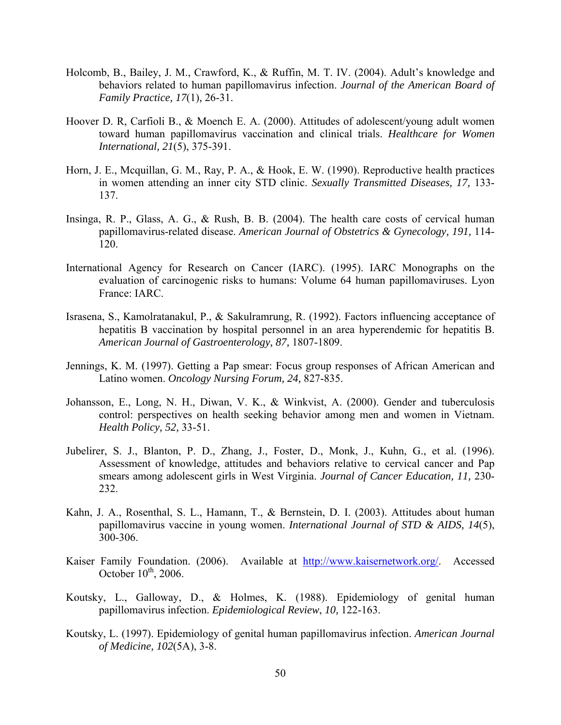- Holcomb, B., Bailey, J. M., Crawford, K., & Ruffin, M. T. IV. (2004). Adult's knowledge and behaviors related to human papillomavirus infection. *Journal of the American Board of Family Practice, 17*(1)*,* 26-31.
- Hoover D. R, Carfioli B., & Moench E. A. (2000). Attitudes of adolescent/young adult women toward human papillomavirus vaccination and clinical trials. *Healthcare for Women International, 21*(5), 375-391.
- Horn, J. E., Mcquillan, G. M., Ray, P. A., & Hook, E. W. (1990). Reproductive health practices in women attending an inner city STD clinic. *Sexually Transmitted Diseases, 17,* 133- 137.
- Insinga, R. P., Glass, A. G., & Rush, B. B. (2004). The health care costs of cervical human papillomavirus-related disease. *American Journal of Obstetrics & Gynecology, 191,* 114- 120.
- International Agency for Research on Cancer (IARC). (1995). IARC Monographs on the evaluation of carcinogenic risks to humans: Volume 64 human papillomaviruses. Lyon France: IARC.
- Israsena, S., Kamolratanakul, P., & Sakulramrung, R. (1992). Factors influencing acceptance of hepatitis B vaccination by hospital personnel in an area hyperendemic for hepatitis B. *American Journal of Gastroenterology, 87,* 1807-1809.
- Jennings, K. M. (1997). Getting a Pap smear: Focus group responses of African American and Latino women. *Oncology Nursing Forum, 24,* 827-835.
- Johansson, E., Long, N. H., Diwan, V. K., & Winkvist, A. (2000). Gender and tuberculosis control: perspectives on health seeking behavior among men and women in Vietnam. *Health Policy, 52,* 33-51.
- Jubelirer, S. J., Blanton, P. D., Zhang, J., Foster, D., Monk, J., Kuhn, G., et al. (1996). Assessment of knowledge, attitudes and behaviors relative to cervical cancer and Pap smears among adolescent girls in West Virginia. *Journal of Cancer Education, 11,* 230- 232.
- Kahn, J. A., Rosenthal, S. L., Hamann, T., & Bernstein, D. I. (2003). Attitudes about human papillomavirus vaccine in young women. *International Journal of STD & AIDS, 14*(5), 300-306.
- Kaiser Family Foundation. (2006). Available at [http://www.kaisernetwork.org/.](http://www.kaisernetwork.org/) Accessed October  $10^{th}$ , 2006.
- Koutsky, L., Galloway, D., & Holmes, K. (1988). Epidemiology of genital human papillomavirus infection. *Epidemiological Review*, *10,* 122-163.
- Koutsky, L. (1997). Epidemiology of genital human papillomavirus infection. *American Journal of Medicine, 102*(5A), 3-8.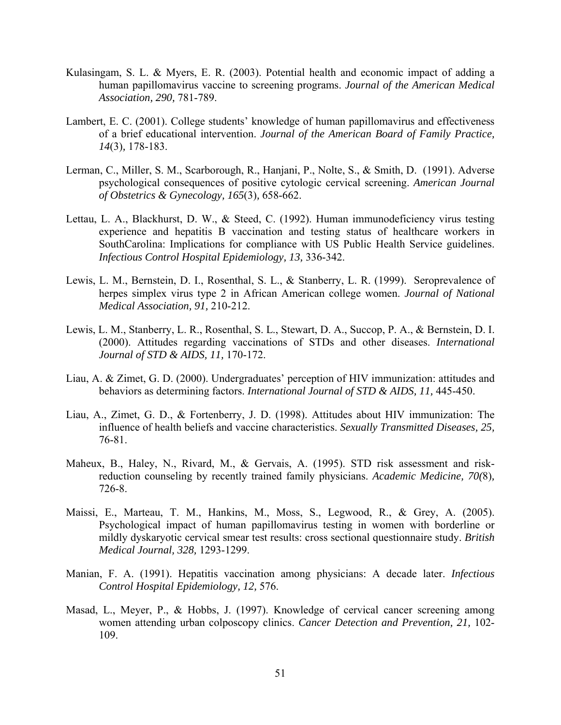- Kulasingam, S. L. & Myers, E. R. (2003). Potential health and economic impact of adding a human papillomavirus vaccine to screening programs. *Journal of the American Medical Association, 290,* 781-789.
- Lambert, E. C. (2001). College students' knowledge of human papillomavirus and effectiveness of a brief educational intervention. *Journal of the American Board of Family Practice, 14*(3)*,* 178-183.
- Lerman, C., Miller, S. M., Scarborough, R., Hanjani, P., Nolte, S., & Smith, D. (1991). Adverse psychological consequences of positive cytologic cervical screening. *American Journal of Obstetrics & Gynecology, 165*(3)*,* 658-662.
- Lettau, L. A., Blackhurst, D. W., & Steed, C. (1992). Human immunodeficiency virus testing experience and hepatitis B vaccination and testing status of healthcare workers in SouthCarolina: Implications for compliance with US Public Health Service guidelines. *Infectious Control Hospital Epidemiology, 13,* 336-342.
- Lewis, L. M., Bernstein, D. I., Rosenthal, S. L., & Stanberry, L. R. (1999). Seroprevalence of herpes simplex virus type 2 in African American college women. *Journal of National Medical Association, 91,* 210-212.
- Lewis, L. M., Stanberry, L. R., Rosenthal, S. L., Stewart, D. A., Succop, P. A., & Bernstein, D. I. (2000). Attitudes regarding vaccinations of STDs and other diseases. *International Journal of STD & AIDS, 11,* 170-172.
- Liau, A. & Zimet, G. D. (2000). Undergraduates' perception of HIV immunization: attitudes and behaviors as determining factors. *International Journal of STD & AIDS, 11,* 445-450.
- Liau, A., Zimet, G. D., & Fortenberry, J. D. (1998). Attitudes about HIV immunization: The influence of health beliefs and vaccine characteristics. *Sexually Transmitted Diseases, 25,*  76-81.
- Maheux, B., Haley, N., Rivard, M., & Gervais, A. (1995). STD risk assessment and riskreduction counseling by recently trained family physicians. *Academic Medicine, 70(*8)*,*  726-8.
- Maissi, E., Marteau, T. M., Hankins, M., Moss, S., Legwood, R., & Grey, A. (2005). Psychological impact of human papillomavirus testing in women with borderline or mildly dyskaryotic cervical smear test results: cross sectional questionnaire study. *British Medical Journal, 328,* 1293-1299.
- Manian, F. A. (1991). Hepatitis vaccination among physicians: A decade later. *Infectious Control Hospital Epidemiology, 12,* 576.
- Masad, L., Meyer, P., & Hobbs, J. (1997). Knowledge of cervical cancer screening among women attending urban colposcopy clinics. *Cancer Detection and Prevention, 21,* 102- 109.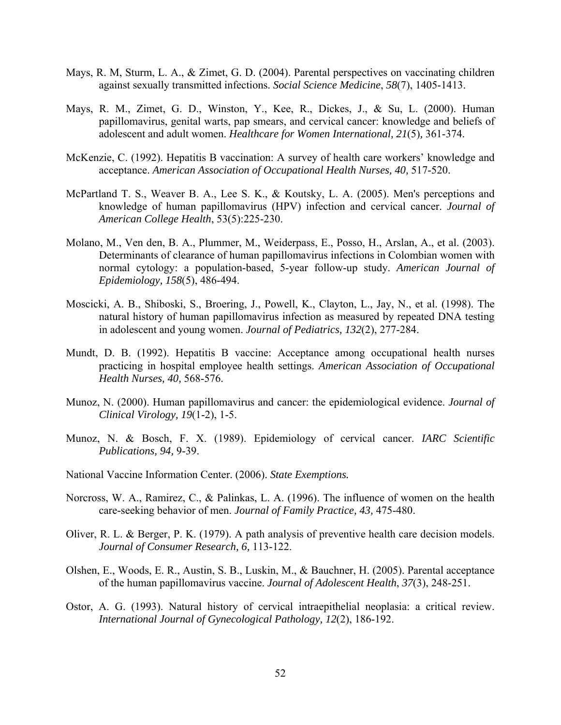- Mays, R. M, Sturm, L. A., & Zimet, G. D. (2004). Parental perspectives on vaccinating children against sexually transmitted infections. *Social Science Medicine*, *58*(7), 1405-1413.
- Mays, R. M., Zimet, G. D., Winston, Y., Kee, R., Dickes, J., & Su, L. (2000). Human papillomavirus, genital warts, pap smears, and cervical cancer: knowledge and beliefs of adolescent and adult women. *Healthcare for Women International, 21*(5)*,* 361-374.
- McKenzie, C. (1992). Hepatitis B vaccination: A survey of health care workers' knowledge and acceptance. *American Association of Occupational Health Nurses, 40,* 517-520.
- McPartland T. S., Weaver B. A., Lee S. K., & Koutsky, L. A. (2005). Men's perceptions and knowledge of human papillomavirus (HPV) infection and cervical cancer. *Journal of American College Health*, 53(5):225-230.
- Molano, M., Ven den, B. A., Plummer, M., Weiderpass, E., Posso, H., Arslan, A., et al. (2003). Determinants of clearance of human papillomavirus infections in Colombian women with normal cytology: a population-based, 5-year follow-up study. *American Journal of Epidemiology, 158*(5), 486-494.
- Moscicki, A. B., Shiboski, S., Broering, J., Powell, K., Clayton, L., Jay, N., et al. (1998). The natural history of human papillomavirus infection as measured by repeated DNA testing in adolescent and young women. *Journal of Pediatrics, 132*(2), 277-284.
- Mundt, D. B. (1992). Hepatitis B vaccine: Acceptance among occupational health nurses practicing in hospital employee health settings. *American Association of Occupational Health Nurses, 40,* 568-576.
- Munoz, N. (2000). Human papillomavirus and cancer: the epidemiological evidence. *Journal of Clinical Virology, 19*(1-2), 1-5.
- Munoz, N. & Bosch, F. X. (1989). Epidemiology of cervical cancer. *IARC Scientific Publications, 94,* 9-39.
- National Vaccine Information Center. (2006). *State Exemptions.*
- Norcross, W. A., Ramirez, C., & Palinkas, L. A. (1996). The influence of women on the health care-seeking behavior of men. *Journal of Family Practice, 43,* 475-480.
- Oliver, R. L. & Berger, P. K. (1979). A path analysis of preventive health care decision models. *Journal of Consumer Research, 6,* 113-122.
- Olshen, E., Woods, E. R., Austin, S. B., Luskin, M., & Bauchner, H. (2005). Parental acceptance of the human papillomavirus vaccine. *Journal of Adolescent Health*, *37*(3), 248-251.
- Ostor, A. G. (1993). Natural history of cervical intraepithelial neoplasia: a critical review. *International Journal of Gynecological Pathology, 12*(2), 186-192.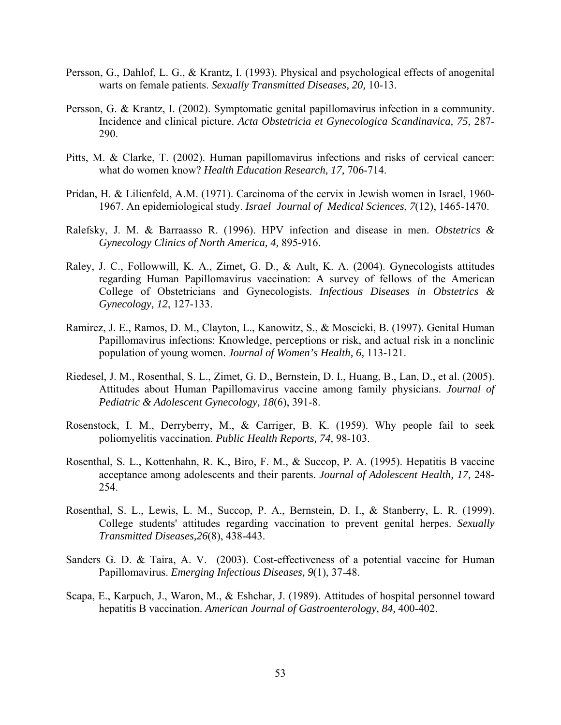- Persson, G., Dahlof, L. G., & Krantz, I. (1993). Physical and psychological effects of anogenital warts on female patients. *Sexually Transmitted Diseases, 20,* 10-13.
- Persson, G. & Krantz, I. (2002). Symptomatic genital papillomavirus infection in a community. Incidence and clinical picture. *Acta Obstetricia et Gynecologica Scandinavica, 75*, 287- 290.
- Pitts, M. & Clarke, T. (2002). Human papillomavirus infections and risks of cervical cancer: what do women know? *Health Education Research, 17,* 706-714.
- Pridan, H. & Lilienfeld, A.M. (1971). Carcinoma of the cervix in Jewish women in Israel, 1960- 1967. An epidemiological study. *Israel Journal of Medical Sciences*, *7*(12), 1465-1470.
- Ralefsky, J. M. & Barraasso R. (1996). HPV infection and disease in men. *Obstetrics & Gynecology Clinics of North America, 4,* 895-916.
- Raley, J. C., Followwill, K. A., Zimet, G. D., & Ault, K. A. (2004). Gynecologists attitudes regarding Human Papillomavirus vaccination: A survey of fellows of the American College of Obstetricians and Gynecologists. *Infectious Diseases in Obstetrics & Gynecology, 12*, 127-133.
- Ramirez, J. E., Ramos, D. M., Clayton, L., Kanowitz, S., & Moscicki, B. (1997). Genital Human Papillomavirus infections: Knowledge, perceptions or risk, and actual risk in a nonclinic population of young women. *Journal of Women's Health, 6,* 113-121.
- Riedesel, J. M., Rosenthal, S. L., Zimet, G. D., Bernstein, D. I., Huang, B., Lan, D., et al. (2005). Attitudes about Human Papillomavirus vaccine among family physicians. *Journal of Pediatric & Adolescent Gynecology, 18*(6), 391-8.
- Rosenstock, I. M., Derryberry, M., & Carriger, B. K. (1959). Why people fail to seek poliomyelitis vaccination. *Public Health Reports, 74,* 98-103.
- Rosenthal, S. L., Kottenhahn, R. K., Biro, F. M., & Succop, P. A. (1995). Hepatitis B vaccine acceptance among adolescents and their parents. *Journal of Adolescent Health, 17,* 248- 254.
- Rosenthal, S. L., Lewis, L. M., Succop, P. A., Bernstein, D. I., & Stanberry, L. R. (1999). College students' attitudes regarding vaccination to prevent genital herpes. *Sexually Transmitted Diseases,26*(8), 438-443.
- Sanders G. D. & Taira, A. V. (2003). Cost-effectiveness of a potential vaccine for Human Papillomavirus. *Emerging Infectious Diseases, 9*(1), 37-48.
- Scapa, E., Karpuch, J., Waron, M., & Eshchar, J. (1989). Attitudes of hospital personnel toward hepatitis B vaccination. *American Journal of Gastroenterology, 84,* 400-402.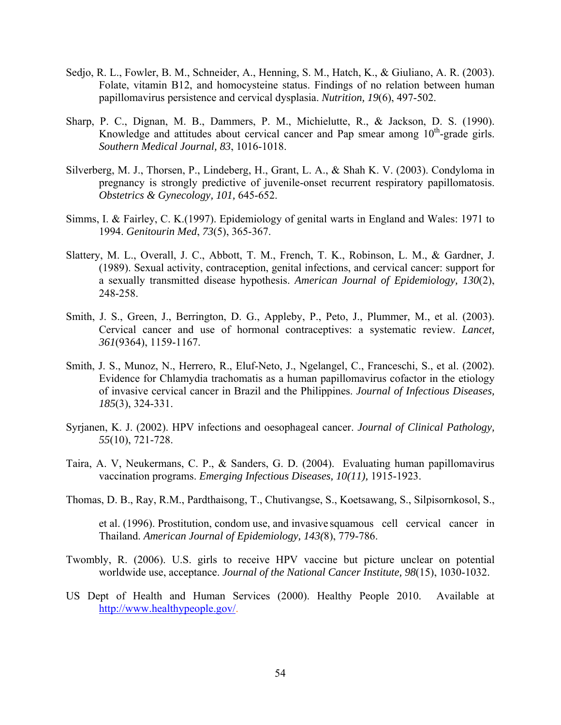- Sedjo, R. L., Fowler, B. M., Schneider, A., Henning, S. M., Hatch, K., & Giuliano, A. R. (2003). Folate, vitamin B12, and homocysteine status. Findings of no relation between human papillomavirus persistence and cervical dysplasia. *Nutrition, 19*(6), 497-502.
- Sharp, P. C., Dignan, M. B., Dammers, P. M., Michielutte, R., & Jackson, D. S. (1990). Knowledge and attitudes about cervical cancer and Pap smear among  $10<sup>th</sup>$ -grade girls. *Southern Medical Journal, 83*, 1016-1018.
- Silverberg, M. J., Thorsen, P., Lindeberg, H., Grant, L. A., & Shah K. V. (2003). Condyloma in pregnancy is strongly predictive of juvenile-onset recurrent respiratory papillomatosis. *Obstetrics & Gynecology, 101,* 645-652.
- Simms, I. & Fairley, C. K.(1997). Epidemiology of genital warts in England and Wales: 1971 to 1994. *Genitourin Med*, *73*(5), 365-367.
- Slattery, M. L., Overall, J. C., Abbott, T. M., French, T. K., Robinson, L. M., & Gardner, J. (1989). Sexual activity, contraception, genital infections, and cervical cancer: support for a sexually transmitted disease hypothesis. *American Journal of Epidemiology, 130*(2), 248-258.
- Smith, J. S., Green, J., Berrington, D. G., Appleby, P., Peto, J., Plummer, M., et al. (2003). Cervical cancer and use of hormonal contraceptives: a systematic review. *Lancet, 361*(9364), 1159-1167.
- Smith, J. S., Munoz, N., Herrero, R., Eluf-Neto, J., Ngelangel, C., Franceschi, S., et al. (2002). Evidence for Chlamydia trachomatis as a human papillomavirus cofactor in the etiology of invasive cervical cancer in Brazil and the Philippines. *Journal of Infectious Diseases, 185*(3), 324-331.
- Syrjanen, K. J. (2002). HPV infections and oesophageal cancer. *Journal of Clinical Pathology, 55*(10), 721-728.
- Taira, A. V, Neukermans, C. P., & Sanders, G. D. (2004). Evaluating human papillomavirus vaccination programs. *Emerging Infectious Diseases, 10(11),* 1915-1923.
- Thomas, D. B., Ray, R.M., Pardthaisong, T., Chutivangse, S., Koetsawang, S., Silpisornkosol, S.,

 et al. (1996). Prostitution, condom use, and invasive squamous cell cervical cancer in Thailand. *American Journal of Epidemiology, 143(*8), 779-786.

- Twombly, R. (2006). U.S. girls to receive HPV vaccine but picture unclear on potential worldwide use, acceptance. *Journal of the National Cancer Institute, 98*(15), 1030-1032.
- US Dept of Health and Human Services (2000). Healthy People 2010. Available at <http://www.healthypeople.gov/>.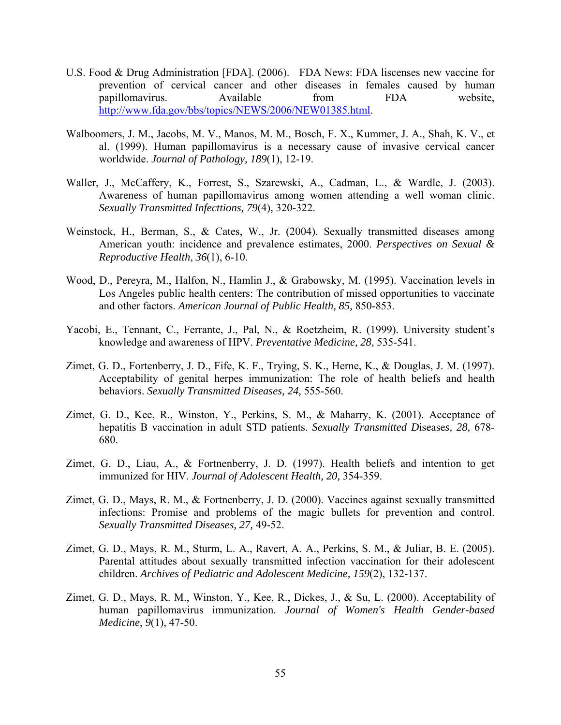- U.S. Food & Drug Administration [FDA]. (2006). FDA News: FDA liscenses new vaccine for prevention of cervical cancer and other diseases in females caused by human papillomavirus. Available from FDA website, <http://www.fda.gov/bbs/topics/NEWS/2006/NEW01385.html>.
- Walboomers, J. M., Jacobs, M. V., Manos, M. M., Bosch, F. X., Kummer, J. A., Shah, K. V., et al. (1999). Human papillomavirus is a necessary cause of invasive cervical cancer worldwide. *Journal of Pathology, 189*(1), 12-19.
- Waller, J., McCaffery, K., Forrest, S., Szarewski, A., Cadman, L., & Wardle, J. (2003). Awareness of human papillomavirus among women attending a well woman clinic. *Sexually Transmitted Infecttions, 79*(4)*,* 320-322.
- Weinstock, H., Berman, S., & Cates, W., Jr. (2004). Sexually transmitted diseases among American youth: incidence and prevalence estimates, 2000. *Perspectives on Sexual & Reproductive Health*, *36*(1), 6-10.
- Wood, D., Pereyra, M., Halfon, N., Hamlin J., & Grabowsky, M. (1995). Vaccination levels in Los Angeles public health centers: The contribution of missed opportunities to vaccinate and other factors. *American Journal of Public Health, 85,* 850-853.
- Yacobi, E., Tennant, C., Ferrante, J., Pal, N., & Roetzheim, R. (1999). University student's knowledge and awareness of HPV. *Preventative Medicine, 28,* 535-541.
- Zimet, G. D., Fortenberry, J. D., Fife, K. F., Trying, S. K., Herne, K., & Douglas, J. M. (1997). Acceptability of genital herpes immunization: The role of health beliefs and health behaviors. *Sexually Transmitted Diseases, 24,* 555-560.
- Zimet, G. D., Kee, R., Winston, Y., Perkins, S. M., & Maharry, K. (2001). Acceptance of hepatitis B vaccination in adult STD patients. *Sexually Transmitted D*isease*s, 28,* 678- 680.
- Zimet, G. D., Liau, A., & Fortnenberry, J. D. (1997). Health beliefs and intention to get immunized for HIV. *Journal of Adolescent Health, 20,* 354-359.
- Zimet, G. D., Mays, R. M., & Fortnenberry, J. D. (2000). Vaccines against sexually transmitted infections: Promise and problems of the magic bullets for prevention and control. *Sexually Transmitted Diseases, 27,* 49-52.
- Zimet, G. D., Mays, R. M., Sturm, L. A., Ravert, A. A., Perkins, S. M., & Juliar, B. E. (2005). Parental attitudes about sexually transmitted infection vaccination for their adolescent children. *Archives of Pediatric and Adolescent Medicine, 159*(2), 132-137.
- Zimet, G. D., Mays, R. M., Winston, Y., Kee, R., Dickes, J., & Su, L. (2000). Acceptability of human papillomavirus immunization. *Journal of Women's Health Gender-based Medicine*, *9*(1), 47-50.